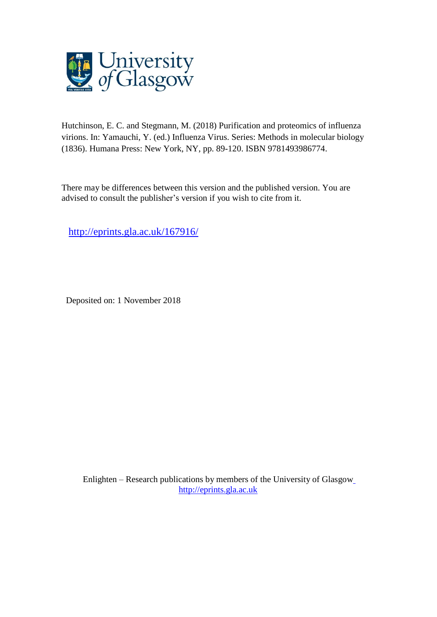

Hutchinson, E. C. and Stegmann, M. (2018) Purification and proteomics of influenza virions. In: Yamauchi, Y. (ed.) Influenza Virus. Series: Methods in molecular biology (1836). Humana Press: New York, NY, pp. 89-120. ISBN 9781493986774.

There may be differences between this version and the published version. You are advised to consult the publisher's version if you wish to cite from it.

<http://eprints.gla.ac.uk/167916/>

Deposited on: 1 November 2018

Enlighten – Research publications by members of the University of Glasgo[w](http://eprints.gla.ac.uk/) [http://eprints.gla.ac.uk](http://eprints.gla.ac.uk/)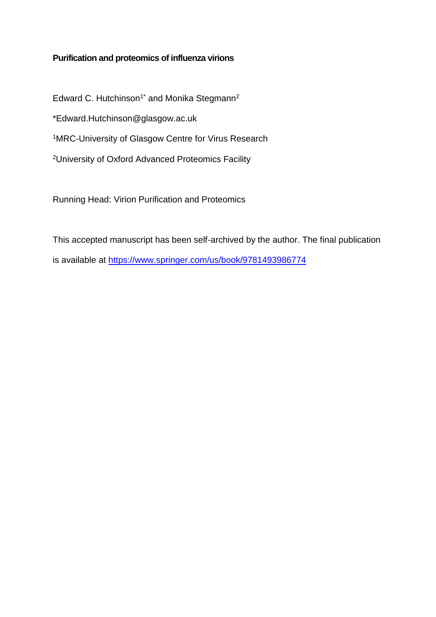# **Purification and proteomics of influenza virions**

Edward C. Hutchinson<sup>1\*</sup> and Monika Stegmann<sup>2</sup> \*Edward.Hutchinson@glasgow.ac.uk <sup>1</sup>MRC-University of Glasgow Centre for Virus Research <sup>2</sup>University of Oxford Advanced Proteomics Facility

Running Head: Virion Purification and Proteomics

This accepted manuscript has been self-archived by the author. The final publication is available at<https://www.springer.com/us/book/9781493986774>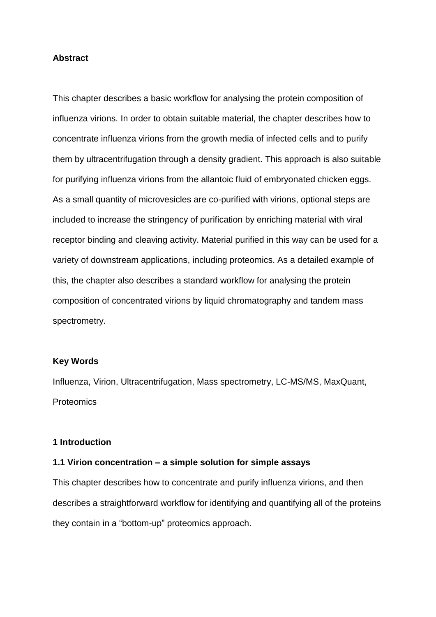#### **Abstract**

This chapter describes a basic workflow for analysing the protein composition of influenza virions. In order to obtain suitable material, the chapter describes how to concentrate influenza virions from the growth media of infected cells and to purify them by ultracentrifugation through a density gradient. This approach is also suitable for purifying influenza virions from the allantoic fluid of embryonated chicken eggs. As a small quantity of microvesicles are co-purified with virions, optional steps are included to increase the stringency of purification by enriching material with viral receptor binding and cleaving activity. Material purified in this way can be used for a variety of downstream applications, including proteomics. As a detailed example of this, the chapter also describes a standard workflow for analysing the protein composition of concentrated virions by liquid chromatography and tandem mass spectrometry.

#### **Key Words**

Influenza, Virion, Ultracentrifugation, Mass spectrometry, LC-MS/MS, MaxQuant, **Proteomics** 

#### **1 Introduction**

## **1.1 Virion concentration – a simple solution for simple assays**

This chapter describes how to concentrate and purify influenza virions, and then describes a straightforward workflow for identifying and quantifying all of the proteins they contain in a "bottom-up" proteomics approach.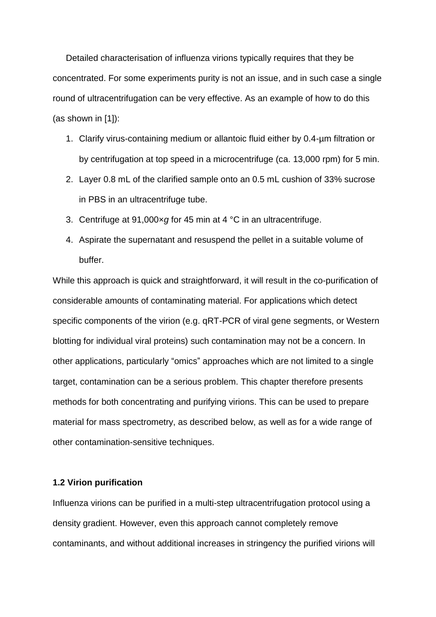Detailed characterisation of influenza virions typically requires that they be concentrated. For some experiments purity is not an issue, and in such case a single round of ultracentrifugation can be very effective. As an example of how to do this (as shown in [1]):

- 1. Clarify virus-containing medium or allantoic fluid either by 0.4-µm filtration or by centrifugation at top speed in a microcentrifuge (ca. 13,000 rpm) for 5 min.
- 2. Layer 0.8 mL of the clarified sample onto an 0.5 mL cushion of 33% sucrose in PBS in an ultracentrifuge tube.
- 3. Centrifuge at 91,000×*g* for 45 min at 4 °C in an ultracentrifuge.
- 4. Aspirate the supernatant and resuspend the pellet in a suitable volume of buffer.

While this approach is quick and straightforward, it will result in the co-purification of considerable amounts of contaminating material. For applications which detect specific components of the virion (e.g. qRT-PCR of viral gene segments, or Western blotting for individual viral proteins) such contamination may not be a concern. In other applications, particularly "omics" approaches which are not limited to a single target, contamination can be a serious problem. This chapter therefore presents methods for both concentrating and purifying virions. This can be used to prepare material for mass spectrometry, as described below, as well as for a wide range of other contamination-sensitive techniques.

#### **1.2 Virion purification**

Influenza virions can be purified in a multi-step ultracentrifugation protocol using a density gradient. However, even this approach cannot completely remove contaminants, and without additional increases in stringency the purified virions will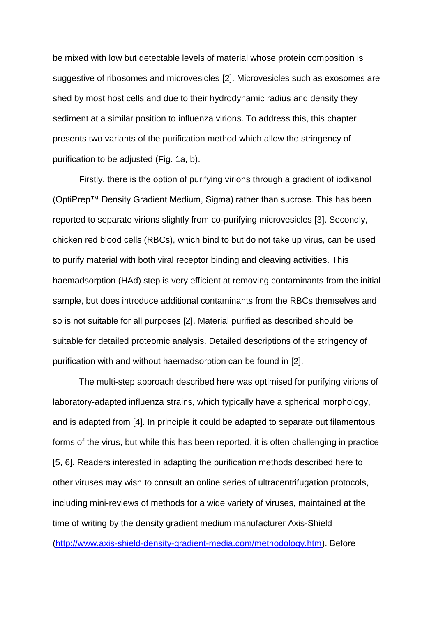be mixed with low but detectable levels of material whose protein composition is suggestive of ribosomes and microvesicles [2]. Microvesicles such as exosomes are shed by most host cells and due to their hydrodynamic radius and density they sediment at a similar position to influenza virions. To address this, this chapter presents two variants of the purification method which allow the stringency of purification to be adjusted (Fig. 1a, b).

Firstly, there is the option of purifying virions through a gradient of iodixanol (OptiPrep™ Density Gradient Medium, Sigma) rather than sucrose. This has been reported to separate virions slightly from co-purifying microvesicles [3]. Secondly, chicken red blood cells (RBCs), which bind to but do not take up virus, can be used to purify material with both viral receptor binding and cleaving activities. This haemadsorption (HAd) step is very efficient at removing contaminants from the initial sample, but does introduce additional contaminants from the RBCs themselves and so is not suitable for all purposes [2]. Material purified as described should be suitable for detailed proteomic analysis. Detailed descriptions of the stringency of purification with and without haemadsorption can be found in [2].

The multi-step approach described here was optimised for purifying virions of laboratory-adapted influenza strains, which typically have a spherical morphology, and is adapted from [4]. In principle it could be adapted to separate out filamentous forms of the virus, but while this has been reported, it is often challenging in practice [5, 6]. Readers interested in adapting the purification methods described here to other viruses may wish to consult an online series of ultracentrifugation protocols, including mini-reviews of methods for a wide variety of viruses, maintained at the time of writing by the density gradient medium manufacturer Axis-Shield [\(http://www.axis-shield-density-gradient-media.com/methodology.htm\)](http://www.axis-shield-density-gradient-media.com/methodology.htm). Before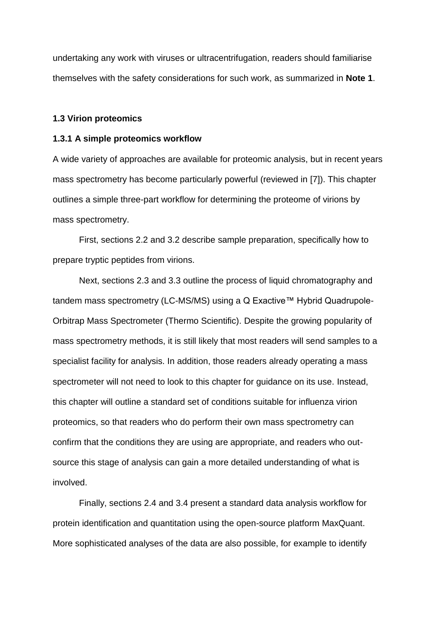undertaking any work with viruses or ultracentrifugation, readers should familiarise themselves with the safety considerations for such work, as summarized in **Note 1**.

#### **1.3 Virion proteomics**

#### **1.3.1 A simple proteomics workflow**

A wide variety of approaches are available for proteomic analysis, but in recent years mass spectrometry has become particularly powerful (reviewed in [7]). This chapter outlines a simple three-part workflow for determining the proteome of virions by mass spectrometry.

First, sections 2.2 and 3.2 describe sample preparation, specifically how to prepare tryptic peptides from virions.

Next, sections 2.3 and 3.3 outline the process of liquid chromatography and tandem mass spectrometry (LC-MS/MS) using a Q Exactive™ Hybrid Quadrupole-Orbitrap Mass Spectrometer (Thermo Scientific). Despite the growing popularity of mass spectrometry methods, it is still likely that most readers will send samples to a specialist facility for analysis. In addition, those readers already operating a mass spectrometer will not need to look to this chapter for guidance on its use. Instead, this chapter will outline a standard set of conditions suitable for influenza virion proteomics, so that readers who do perform their own mass spectrometry can confirm that the conditions they are using are appropriate, and readers who outsource this stage of analysis can gain a more detailed understanding of what is involved.

Finally, sections 2.4 and 3.4 present a standard data analysis workflow for protein identification and quantitation using the open-source platform MaxQuant. More sophisticated analyses of the data are also possible, for example to identify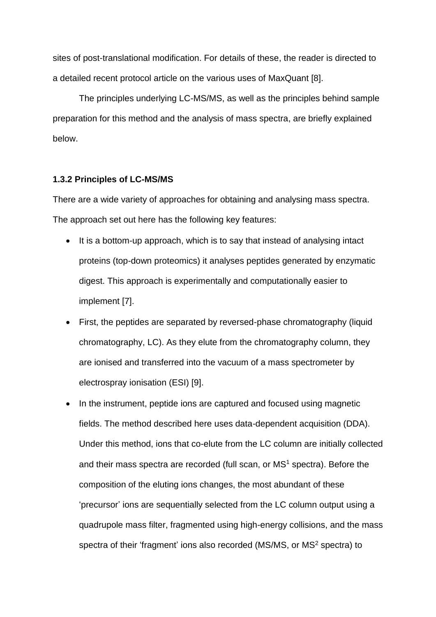sites of post-translational modification. For details of these, the reader is directed to a detailed recent protocol article on the various uses of MaxQuant [8].

The principles underlying LC-MS/MS, as well as the principles behind sample preparation for this method and the analysis of mass spectra, are briefly explained below.

#### **1.3.2 Principles of LC-MS/MS**

There are a wide variety of approaches for obtaining and analysing mass spectra. The approach set out here has the following key features:

- It is a bottom-up approach, which is to say that instead of analysing intact proteins (top-down proteomics) it analyses peptides generated by enzymatic digest. This approach is experimentally and computationally easier to implement [7].
- First, the peptides are separated by reversed-phase chromatography (liquid chromatography, LC). As they elute from the chromatography column, they are ionised and transferred into the vacuum of a mass spectrometer by electrospray ionisation (ESI) [9].
- In the instrument, peptide ions are captured and focused using magnetic fields. The method described here uses data-dependent acquisition (DDA). Under this method, ions that co-elute from the LC column are initially collected and their mass spectra are recorded (full scan, or MS<sup>1</sup> spectra). Before the composition of the eluting ions changes, the most abundant of these 'precursor' ions are sequentially selected from the LC column output using a quadrupole mass filter, fragmented using high-energy collisions, and the mass spectra of their 'fragment' ions also recorded (MS/MS, or MS<sup>2</sup> spectra) to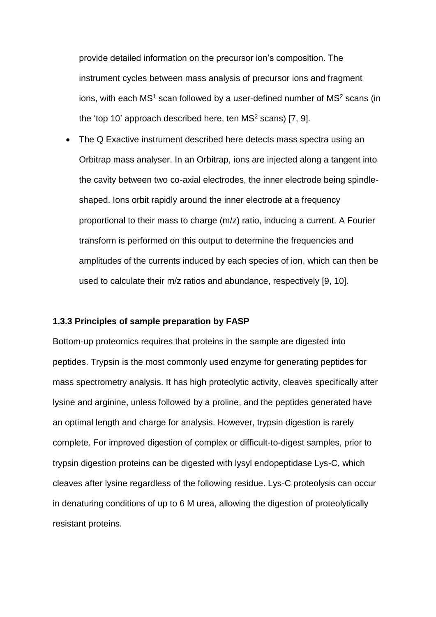provide detailed information on the precursor ion's composition. The instrument cycles between mass analysis of precursor ions and fragment ions, with each  $MS<sup>1</sup>$  scan followed by a user-defined number of  $MS<sup>2</sup>$  scans (in the 'top 10' approach described here, ten  $MS<sup>2</sup>$  scans) [7, 9].

• The Q Exactive instrument described here detects mass spectra using an Orbitrap mass analyser. In an Orbitrap, ions are injected along a tangent into the cavity between two co-axial electrodes, the inner electrode being spindleshaped. Ions orbit rapidly around the inner electrode at a frequency proportional to their mass to charge (m/z) ratio, inducing a current. A Fourier transform is performed on this output to determine the frequencies and amplitudes of the currents induced by each species of ion, which can then be used to calculate their m/z ratios and abundance, respectively [9, 10].

#### **1.3.3 Principles of sample preparation by FASP**

Bottom-up proteomics requires that proteins in the sample are digested into peptides. Trypsin is the most commonly used enzyme for generating peptides for mass spectrometry analysis. It has high proteolytic activity, cleaves specifically after lysine and arginine, unless followed by a proline, and the peptides generated have an optimal length and charge for analysis. However, trypsin digestion is rarely complete. For improved digestion of complex or difficult-to-digest samples, prior to trypsin digestion proteins can be digested with lysyl endopeptidase Lys-C, which cleaves after lysine regardless of the following residue. Lys-C proteolysis can occur in denaturing conditions of up to 6 M urea, allowing the digestion of proteolytically resistant proteins.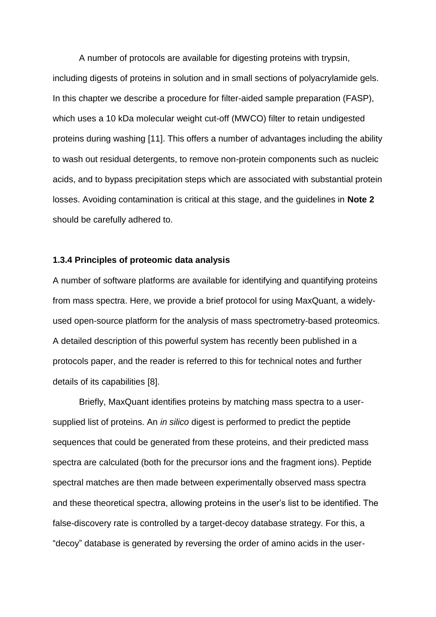A number of protocols are available for digesting proteins with trypsin, including digests of proteins in solution and in small sections of polyacrylamide gels. In this chapter we describe a procedure for filter-aided sample preparation (FASP), which uses a 10 kDa molecular weight cut-off (MWCO) filter to retain undigested proteins during washing [11]. This offers a number of advantages including the ability to wash out residual detergents, to remove non-protein components such as nucleic acids, and to bypass precipitation steps which are associated with substantial protein losses. Avoiding contamination is critical at this stage, and the guidelines in **Note 2** should be carefully adhered to.

#### **1.3.4 Principles of proteomic data analysis**

A number of software platforms are available for identifying and quantifying proteins from mass spectra. Here, we provide a brief protocol for using MaxQuant, a widelyused open-source platform for the analysis of mass spectrometry-based proteomics. A detailed description of this powerful system has recently been published in a protocols paper, and the reader is referred to this for technical notes and further details of its capabilities [8].

Briefly, MaxQuant identifies proteins by matching mass spectra to a usersupplied list of proteins. An *in silico* digest is performed to predict the peptide sequences that could be generated from these proteins, and their predicted mass spectra are calculated (both for the precursor ions and the fragment ions). Peptide spectral matches are then made between experimentally observed mass spectra and these theoretical spectra, allowing proteins in the user's list to be identified. The false-discovery rate is controlled by a target-decoy database strategy. For this, a "decoy" database is generated by reversing the order of amino acids in the user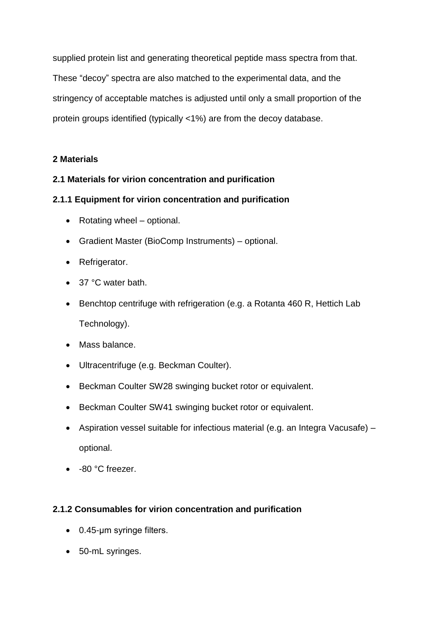supplied protein list and generating theoretical peptide mass spectra from that. These "decoy" spectra are also matched to the experimental data, and the stringency of acceptable matches is adjusted until only a small proportion of the protein groups identified (typically <1%) are from the decoy database.

# **2 Materials**

# **2.1 Materials for virion concentration and purification**

# **2.1.1 Equipment for virion concentration and purification**

- Rotating wheel optional.
- Gradient Master (BioComp Instruments) optional.
- Refrigerator.
- 37 °C water bath.
- Benchtop centrifuge with refrigeration (e.g. a Rotanta 460 R, Hettich Lab Technology).
- Mass balance.
- Ultracentrifuge (e.g. Beckman Coulter).
- Beckman Coulter SW28 swinging bucket rotor or equivalent.
- Beckman Coulter SW41 swinging bucket rotor or equivalent.
- Aspiration vessel suitable for infectious material (e.g. an Integra Vacusafe) optional.
- -80 °C freezer.

# **2.1.2 Consumables for virion concentration and purification**

- 0.45-um syringe filters.
- 50-mL syringes.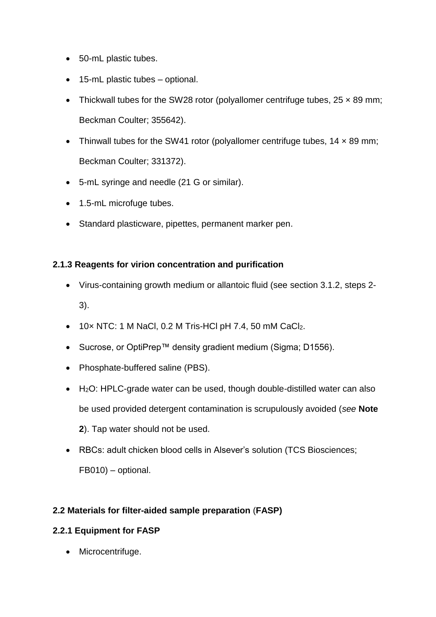- 50-mL plastic tubes.
- 15-mL plastic tubes optional.
- Thickwall tubes for the SW28 rotor (polyallomer centrifuge tubes,  $25 \times 89$  mm; Beckman Coulter; 355642).
- Thinwall tubes for the SW41 rotor (polyallomer centrifuge tubes,  $14 \times 89$  mm; Beckman Coulter; 331372).
- 5-mL syringe and needle (21 G or similar).
- 1.5-mL microfuge tubes.
- Standard plasticware, pipettes, permanent marker pen.

## **2.1.3 Reagents for virion concentration and purification**

- Virus-containing growth medium or allantoic fluid (see section 3.1.2, steps 2- 3).
- $\bullet$  10x NTC: 1 M NaCl, 0.2 M Tris-HCl pH 7.4, 50 mM CaCl<sub>2</sub>.
- Sucrose, or OptiPrep™ density gradient medium (Sigma; D1556).
- Phosphate-buffered saline (PBS).
- H<sub>2</sub>O: HPLC-grade water can be used, though double-distilled water can also be used provided detergent contamination is scrupulously avoided (*see* **Note 2**). Tap water should not be used.
- RBCs: adult chicken blood cells in Alsever's solution (TCS Biosciences; FB010) – optional.

# **2.2 Materials for filter-aided sample preparation** (**FASP)**

# **2.2.1 Equipment for FASP**

• Microcentrifuge.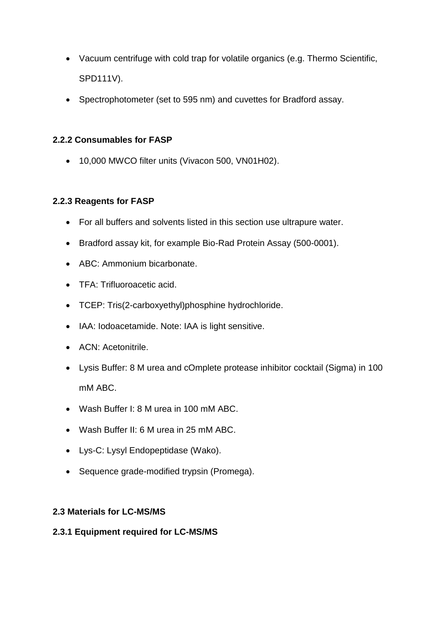- Vacuum centrifuge with cold trap for volatile organics (e.g. Thermo Scientific, SPD111V).
- Spectrophotometer (set to 595 nm) and cuvettes for Bradford assay.

# **2.2.2 Consumables for FASP**

10,000 MWCO filter units (Vivacon 500, VN01H02).

# **2.2.3 Reagents for FASP**

- For all buffers and solvents listed in this section use ultrapure water.
- Bradford assay kit, for example Bio-Rad Protein Assay (500-0001).
- ABC: Ammonium bicarbonate.
- TFA: Trifluoroacetic acid.
- TCEP: Tris(2-carboxyethyl)phosphine hydrochloride.
- IAA: Iodoacetamide. Note: IAA is light sensitive.
- ACN: Acetonitrile.
- Lysis Buffer: 8 M urea and cOmplete protease inhibitor cocktail (Sigma) in 100 mM ABC.
- Wash Buffer I: 8 M urea in 100 mM ABC.
- Wash Buffer II: 6 M urea in 25 mM ABC.
- Lys-C: Lysyl Endopeptidase (Wako).
- Sequence grade-modified trypsin (Promega).

# **2.3 Materials for LC-MS/MS**

# **2.3.1 Equipment required for LC-MS/MS**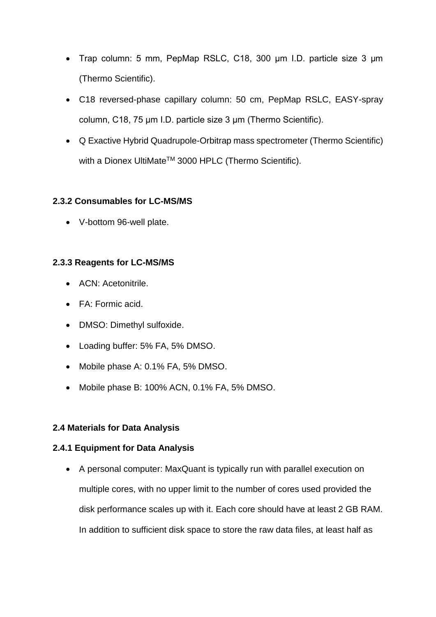- Trap column: 5 mm, PepMap RSLC, C18, 300 μm I.D. particle size 3 μm (Thermo Scientific).
- C18 reversed-phase capillary column: 50 cm, PepMap RSLC, EASY-spray column, C18, 75 μm I.D. particle size 3 μm (Thermo Scientific).
- Q Exactive Hybrid Quadrupole-Orbitrap mass spectrometer (Thermo Scientific) with a Dionex UltiMate™ 3000 HPLC (Thermo Scientific).

## **2.3.2 Consumables for LC-MS/MS**

V-bottom 96-well plate.

## **2.3.3 Reagents for LC-MS/MS**

- ACN: Acetonitrile.
- FA: Formic acid.
- DMSO: Dimethyl sulfoxide.
- Loading buffer: 5% FA, 5% DMSO.
- Mobile phase A: 0.1% FA, 5% DMSO.
- Mobile phase B: 100% ACN, 0.1% FA, 5% DMSO.

# **2.4 Materials for Data Analysis**

# **2.4.1 Equipment for Data Analysis**

 A personal computer: MaxQuant is typically run with parallel execution on multiple cores, with no upper limit to the number of cores used provided the disk performance scales up with it. Each core should have at least 2 GB RAM. In addition to sufficient disk space to store the raw data files, at least half as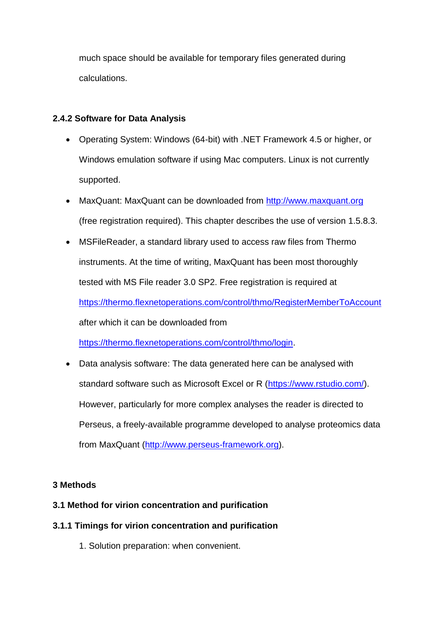much space should be available for temporary files generated during calculations.

# **2.4.2 Software for Data Analysis**

- Operating System: Windows (64-bit) with .NET Framework 4.5 or higher, or Windows emulation software if using Mac computers. Linux is not currently supported.
- MaxQuant: MaxQuant can be downloaded from [http://www.maxquant.org](http://www.maxquant.org/) (free registration required). This chapter describes the use of version 1.5.8.3.
- MSFileReader, a standard library used to access raw files from Thermo instruments. At the time of writing, MaxQuant has been most thoroughly tested with MS File reader 3.0 SP2. Free registration is required at <https://thermo.flexnetoperations.com/control/thmo/RegisterMemberToAccount> after which it can be downloaded from

[https://thermo.flexnetoperations.com/control/thmo/login.](https://thermo.flexnetoperations.com/control/thmo/login)

 Data analysis software: The data generated here can be analysed with standard software such as Microsoft Excel or R [\(https://www.rstudio.com/\)](https://www.rstudio.com/). However, particularly for more complex analyses the reader is directed to Perseus, a freely-available programme developed to analyse proteomics data from MaxQuant [\(http://www.perseus-framework.org\)](http://www.perseus-framework.org/).

# **3 Methods**

# **3.1 Method for virion concentration and purification**

# **3.1.1 Timings for virion concentration and purification**

1. Solution preparation: when convenient.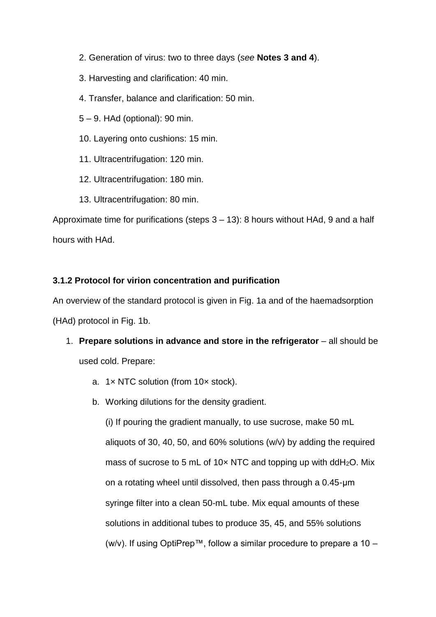- 2. Generation of virus: two to three days (*see* **Notes 3 and 4**).
- 3. Harvesting and clarification: 40 min.
- 4. Transfer, balance and clarification: 50 min.
- 5 9. HAd (optional): 90 min.
- 10. Layering onto cushions: 15 min.
- 11. Ultracentrifugation: 120 min.
- 12. Ultracentrifugation: 180 min.
- 13. Ultracentrifugation: 80 min.

Approximate time for purifications (steps 3 – 13): 8 hours without HAd, 9 and a half hours with HAd.

# **3.1.2 Protocol for virion concentration and purification**

An overview of the standard protocol is given in Fig. 1a and of the haemadsorption (HAd) protocol in Fig. 1b.

- 1. **Prepare solutions in advance and store in the refrigerator** all should be used cold. Prepare:
	- a. 1× NTC solution (from 10× stock).
	- b. Working dilutions for the density gradient.

(i) If pouring the gradient manually, to use sucrose, make 50 mL aliquots of 30, 40, 50, and 60% solutions (w/v) by adding the required mass of sucrose to 5 mL of 10 $\times$  NTC and topping up with ddH<sub>2</sub>O. Mix on a rotating wheel until dissolved, then pass through a 0.45-μm syringe filter into a clean 50-mL tube. Mix equal amounts of these solutions in additional tubes to produce 35, 45, and 55% solutions (w/v). If using OptiPrep™, follow a similar procedure to prepare a 10 –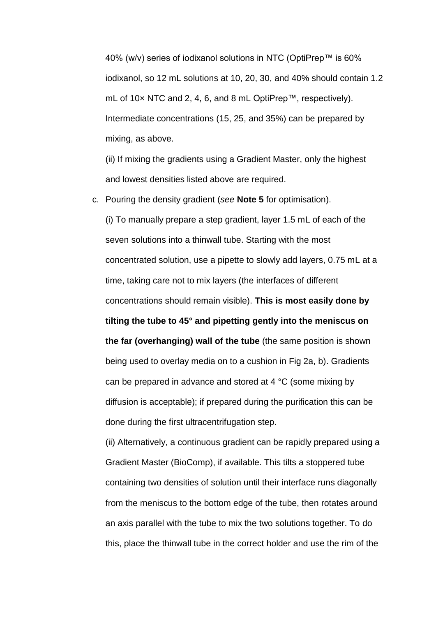40% (w/v) series of iodixanol solutions in NTC (OptiPrep™ is 60% iodixanol, so 12 mL solutions at 10, 20, 30, and 40% should contain 1.2 mL of 10× NTC and 2, 4, 6, and 8 mL OptiPrep™, respectively). Intermediate concentrations (15, 25, and 35%) can be prepared by mixing, as above.

(ii) If mixing the gradients using a Gradient Master, only the highest and lowest densities listed above are required.

c. Pouring the density gradient (*see* **Note 5** for optimisation).

(i) To manually prepare a step gradient, layer 1.5 mL of each of the seven solutions into a thinwall tube. Starting with the most concentrated solution, use a pipette to slowly add layers, 0.75 mL at a time, taking care not to mix layers (the interfaces of different concentrations should remain visible). **This is most easily done by tilting the tube to 45° and pipetting gently into the meniscus on the far (overhanging) wall of the tube** (the same position is shown being used to overlay media on to a cushion in Fig 2a, b). Gradients can be prepared in advance and stored at 4 °C (some mixing by diffusion is acceptable); if prepared during the purification this can be done during the first ultracentrifugation step.

(ii) Alternatively, a continuous gradient can be rapidly prepared using a Gradient Master (BioComp), if available. This tilts a stoppered tube containing two densities of solution until their interface runs diagonally from the meniscus to the bottom edge of the tube, then rotates around an axis parallel with the tube to mix the two solutions together. To do this, place the thinwall tube in the correct holder and use the rim of the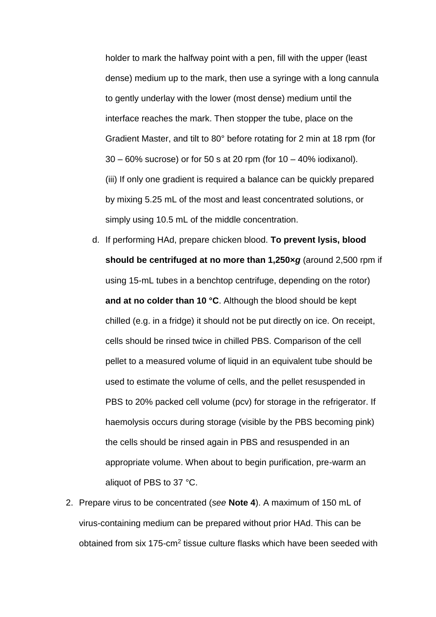holder to mark the halfway point with a pen, fill with the upper (least dense) medium up to the mark, then use a syringe with a long cannula to gently underlay with the lower (most dense) medium until the interface reaches the mark. Then stopper the tube, place on the Gradient Master, and tilt to 80° before rotating for 2 min at 18 rpm (for 30 – 60% sucrose) or for 50 s at 20 rpm (for 10 – 40% iodixanol). (iii) If only one gradient is required a balance can be quickly prepared by mixing 5.25 mL of the most and least concentrated solutions, or simply using 10.5 mL of the middle concentration.

- d. If performing HAd, prepare chicken blood. **To prevent lysis, blood should be centrifuged at no more than 1,250×***g* (around 2,500 rpm if using 15-mL tubes in a benchtop centrifuge, depending on the rotor) **and at no colder than 10 °C**. Although the blood should be kept chilled (e.g. in a fridge) it should not be put directly on ice. On receipt, cells should be rinsed twice in chilled PBS. Comparison of the cell pellet to a measured volume of liquid in an equivalent tube should be used to estimate the volume of cells, and the pellet resuspended in PBS to 20% packed cell volume (pcv) for storage in the refrigerator. If haemolysis occurs during storage (visible by the PBS becoming pink) the cells should be rinsed again in PBS and resuspended in an appropriate volume. When about to begin purification, pre-warm an aliquot of PBS to 37 °C.
- 2. Prepare virus to be concentrated (*see* **Note 4**). A maximum of 150 mL of virus-containing medium can be prepared without prior HAd. This can be obtained from six 175-cm<sup>2</sup> tissue culture flasks which have been seeded with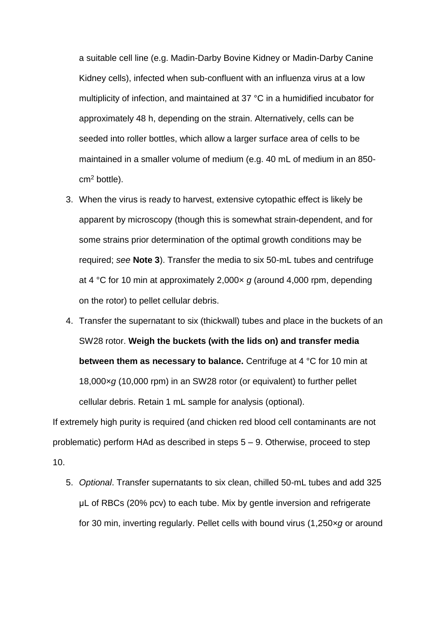a suitable cell line (e.g. Madin-Darby Bovine Kidney or Madin-Darby Canine Kidney cells), infected when sub-confluent with an influenza virus at a low multiplicity of infection, and maintained at 37 °C in a humidified incubator for approximately 48 h, depending on the strain. Alternatively, cells can be seeded into roller bottles, which allow a larger surface area of cells to be maintained in a smaller volume of medium (e.g. 40 mL of medium in an 850  $cm<sup>2</sup>$  bottle).

- 3. When the virus is ready to harvest, extensive cytopathic effect is likely be apparent by microscopy (though this is somewhat strain-dependent, and for some strains prior determination of the optimal growth conditions may be required; *see* **Note 3**). Transfer the media to six 50-mL tubes and centrifuge at 4 °C for 10 min at approximately 2,000× *g* (around 4,000 rpm, depending on the rotor) to pellet cellular debris.
- 4. Transfer the supernatant to six (thickwall) tubes and place in the buckets of an SW28 rotor. **Weigh the buckets (with the lids on) and transfer media between them as necessary to balance.** Centrifuge at 4 °C for 10 min at 18,000×*g* (10,000 rpm) in an SW28 rotor (or equivalent) to further pellet cellular debris. Retain 1 mL sample for analysis (optional).

If extremely high purity is required (and chicken red blood cell contaminants are not problematic) perform HAd as described in steps 5 – 9. Otherwise, proceed to step 10.

5. *Optional*. Transfer supernatants to six clean, chilled 50-mL tubes and add 325 μL of RBCs (20% pcv) to each tube. Mix by gentle inversion and refrigerate for 30 min, inverting regularly. Pellet cells with bound virus (1,250×*g* or around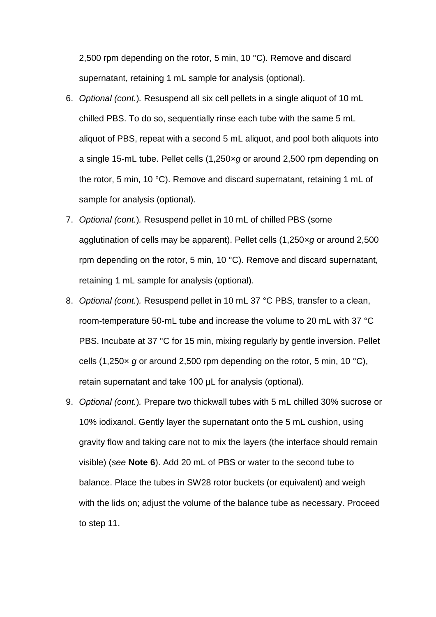2,500 rpm depending on the rotor, 5 min, 10 °C). Remove and discard supernatant, retaining 1 mL sample for analysis (optional).

- 6. *Optional (cont.*)*.* Resuspend all six cell pellets in a single aliquot of 10 mL chilled PBS. To do so, sequentially rinse each tube with the same 5 mL aliquot of PBS, repeat with a second 5 mL aliquot, and pool both aliquots into a single 15-mL tube. Pellet cells (1,250×*g* or around 2,500 rpm depending on the rotor, 5 min, 10 °C). Remove and discard supernatant, retaining 1 mL of sample for analysis (optional).
- 7. *Optional (cont.*)*.* Resuspend pellet in 10 mL of chilled PBS (some agglutination of cells may be apparent). Pellet cells (1,250×*g* or around 2,500 rpm depending on the rotor, 5 min, 10 °C). Remove and discard supernatant, retaining 1 mL sample for analysis (optional).
- 8. *Optional (cont.*)*.* Resuspend pellet in 10 mL 37 °C PBS, transfer to a clean, room-temperature 50-mL tube and increase the volume to 20 mL with 37 °C PBS. Incubate at 37 °C for 15 min, mixing regularly by gentle inversion. Pellet cells (1,250× *g* or around 2,500 rpm depending on the rotor, 5 min, 10 °C), retain supernatant and take 100 μL for analysis (optional).
- 9. *Optional (cont.*)*.* Prepare two thickwall tubes with 5 mL chilled 30% sucrose or 10% iodixanol. Gently layer the supernatant onto the 5 mL cushion, using gravity flow and taking care not to mix the layers (the interface should remain visible) (*see* **Note 6**). Add 20 mL of PBS or water to the second tube to balance. Place the tubes in SW28 rotor buckets (or equivalent) and weigh with the lids on; adjust the volume of the balance tube as necessary. Proceed to step 11.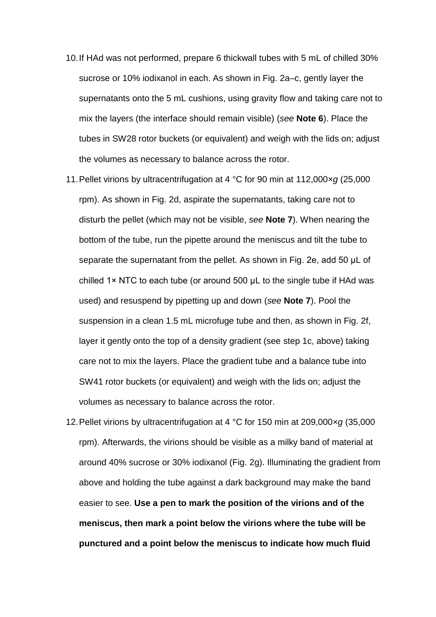- 10.If HAd was not performed, prepare 6 thickwall tubes with 5 mL of chilled 30% sucrose or 10% iodixanol in each. As shown in Fig. 2a–c, gently layer the supernatants onto the 5 mL cushions, using gravity flow and taking care not to mix the layers (the interface should remain visible) (*see* **Note 6**). Place the tubes in SW28 rotor buckets (or equivalent) and weigh with the lids on; adjust the volumes as necessary to balance across the rotor.
- 11.Pellet virions by ultracentrifugation at 4 °C for 90 min at 112,000×*g* (25,000 rpm). As shown in Fig. 2d, aspirate the supernatants, taking care not to disturb the pellet (which may not be visible, *see* **Note 7**). When nearing the bottom of the tube, run the pipette around the meniscus and tilt the tube to separate the supernatant from the pellet. As shown in Fig. 2e, add 50 μL of chilled 1× NTC to each tube (or around 500 μL to the single tube if HAd was used) and resuspend by pipetting up and down (*see* **Note 7**). Pool the suspension in a clean 1.5 mL microfuge tube and then, as shown in Fig. 2f, layer it gently onto the top of a density gradient (see step 1c, above) taking care not to mix the layers. Place the gradient tube and a balance tube into SW41 rotor buckets (or equivalent) and weigh with the lids on; adjust the volumes as necessary to balance across the rotor.
- 12.Pellet virions by ultracentrifugation at 4 °C for 150 min at 209,000×*g* (35,000 rpm). Afterwards, the virions should be visible as a milky band of material at around 40% sucrose or 30% iodixanol (Fig. 2g). Illuminating the gradient from above and holding the tube against a dark background may make the band easier to see. **Use a pen to mark the position of the virions and of the meniscus, then mark a point below the virions where the tube will be punctured and a point below the meniscus to indicate how much fluid**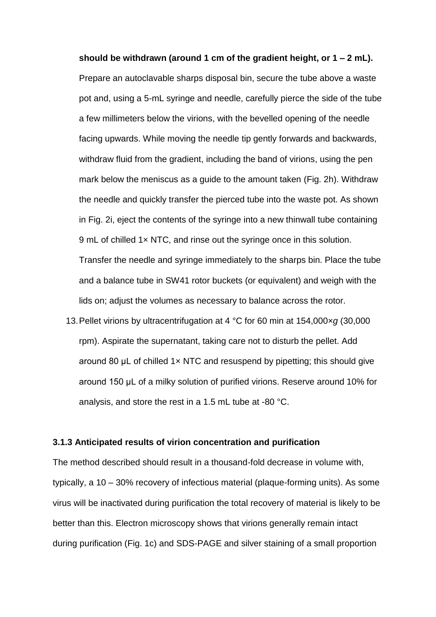**should be withdrawn (around 1 cm of the gradient height, or 1 – 2 mL).** Prepare an autoclavable sharps disposal bin, secure the tube above a waste pot and, using a 5-mL syringe and needle, carefully pierce the side of the tube a few millimeters below the virions, with the bevelled opening of the needle facing upwards. While moving the needle tip gently forwards and backwards, withdraw fluid from the gradient, including the band of virions, using the pen mark below the meniscus as a guide to the amount taken (Fig. 2h). Withdraw the needle and quickly transfer the pierced tube into the waste pot. As shown in Fig. 2i, eject the contents of the syringe into a new thinwall tube containing 9 mL of chilled 1x NTC, and rinse out the syringe once in this solution. Transfer the needle and syringe immediately to the sharps bin. Place the tube and a balance tube in SW41 rotor buckets (or equivalent) and weigh with the lids on; adjust the volumes as necessary to balance across the rotor.

13.Pellet virions by ultracentrifugation at 4 °C for 60 min at 154,000×*g* (30,000 rpm). Aspirate the supernatant, taking care not to disturb the pellet. Add around 80  $\mu$ L of chilled 1 $\times$  NTC and resuspend by pipetting; this should give around 150 μL of a milky solution of purified virions. Reserve around 10% for analysis, and store the rest in a 1.5 mL tube at -80 °C.

#### **3.1.3 Anticipated results of virion concentration and purification**

The method described should result in a thousand-fold decrease in volume with, typically, a 10 – 30% recovery of infectious material (plaque-forming units). As some virus will be inactivated during purification the total recovery of material is likely to be better than this. Electron microscopy shows that virions generally remain intact during purification (Fig. 1c) and SDS-PAGE and silver staining of a small proportion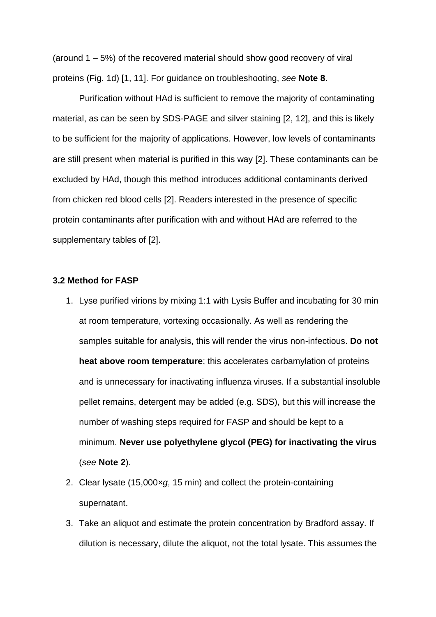(around 1 – 5%) of the recovered material should show good recovery of viral proteins (Fig. 1d) [1, 11]. For guidance on troubleshooting, *see* **Note 8**.

Purification without HAd is sufficient to remove the majority of contaminating material, as can be seen by SDS-PAGE and silver staining [2, 12], and this is likely to be sufficient for the majority of applications. However, low levels of contaminants are still present when material is purified in this way [2]. These contaminants can be excluded by HAd, though this method introduces additional contaminants derived from chicken red blood cells [2]. Readers interested in the presence of specific protein contaminants after purification with and without HAd are referred to the supplementary tables of [2].

#### **3.2 Method for FASP**

- 1. Lyse purified virions by mixing 1:1 with Lysis Buffer and incubating for 30 min at room temperature, vortexing occasionally. As well as rendering the samples suitable for analysis, this will render the virus non-infectious. **Do not heat above room temperature**; this accelerates carbamylation of proteins and is unnecessary for inactivating influenza viruses. If a substantial insoluble pellet remains, detergent may be added (e.g. SDS), but this will increase the number of washing steps required for FASP and should be kept to a minimum. **Never use polyethylene glycol (PEG) for inactivating the virus** (*see* **Note 2**).
- 2. Clear lysate (15,000×*g*, 15 min) and collect the protein-containing supernatant.
- 3. Take an aliquot and estimate the protein concentration by Bradford assay. If dilution is necessary, dilute the aliquot, not the total lysate. This assumes the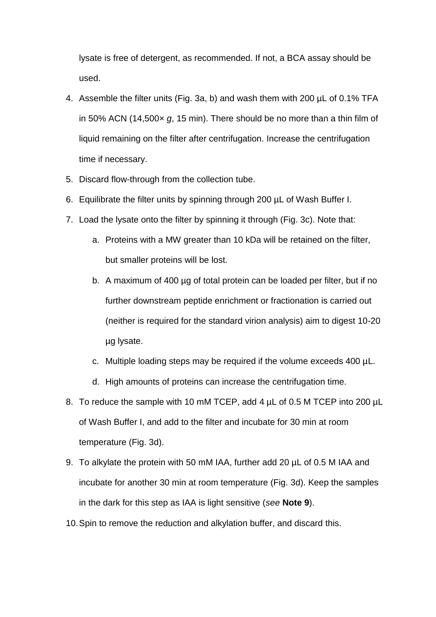lysate is free of detergent, as recommended. If not, a BCA assay should be used.

- 4. Assemble the filter units (Fig. 3a, b) and wash them with 200 µL of 0.1% TFA in 50% ACN (14,500× *g*, 15 min). There should be no more than a thin film of liquid remaining on the filter after centrifugation. Increase the centrifugation time if necessary.
- 5. Discard flow-through from the collection tube.
- 6. Equilibrate the filter units by spinning through 200 µL of Wash Buffer I.
- 7. Load the lysate onto the filter by spinning it through (Fig. 3c). Note that:
	- a. Proteins with a MW greater than 10 kDa will be retained on the filter, but smaller proteins will be lost.
	- b. A maximum of 400 µg of total protein can be loaded per filter, but if no further downstream peptide enrichment or fractionation is carried out (neither is required for the standard virion analysis) aim to digest 10-20 µg lysate.
	- c. Multiple loading steps may be required if the volume exceeds 400 µL.
	- d. High amounts of proteins can increase the centrifugation time.
- 8. To reduce the sample with 10 mM TCEP, add 4 µL of 0.5 M TCEP into 200 µL of Wash Buffer I, and add to the filter and incubate for 30 min at room temperature (Fig. 3d).
- 9. To alkylate the protein with 50 mM IAA, further add 20 µL of 0.5 M IAA and incubate for another 30 min at room temperature (Fig. 3d). Keep the samples in the dark for this step as IAA is light sensitive (*see* **Note 9**).
- 10.Spin to remove the reduction and alkylation buffer, and discard this.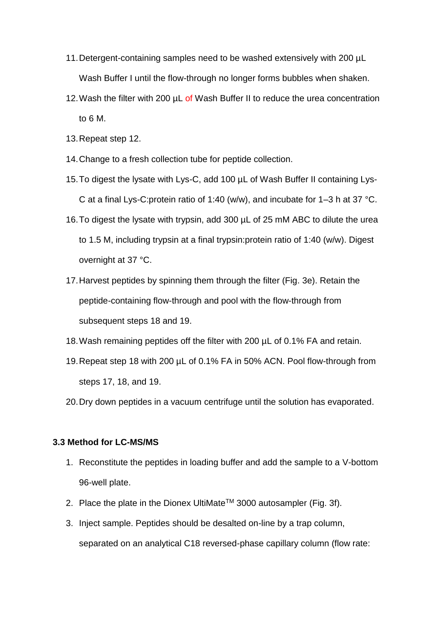- 11.Detergent-containing samples need to be washed extensively with 200 µL Wash Buffer I until the flow-through no longer forms bubbles when shaken.
- 12. Wash the filter with 200  $\mu$ L of Wash Buffer II to reduce the urea concentration to 6 M.
- 13.Repeat step 12.
- 14.Change to a fresh collection tube for peptide collection.
- 15.To digest the lysate with Lys-C, add 100 µL of Wash Buffer II containing Lys-C at a final Lys-C:protein ratio of 1:40 (w/w), and incubate for 1–3 h at 37 °C.
- 16.To digest the lysate with trypsin, add 300 µL of 25 mM ABC to dilute the urea to 1.5 M, including trypsin at a final trypsin:protein ratio of 1:40 (w/w). Digest overnight at 37 °C.
- 17.Harvest peptides by spinning them through the filter (Fig. 3e). Retain the peptide-containing flow-through and pool with the flow-through from subsequent steps 18 and 19.
- 18.Wash remaining peptides off the filter with 200 µL of 0.1% FA and retain.
- 19.Repeat step 18 with 200 µL of 0.1% FA in 50% ACN. Pool flow-through from steps 17, 18, and 19.
- 20.Dry down peptides in a vacuum centrifuge until the solution has evaporated.

#### **3.3 Method for LC-MS/MS**

- 1. Reconstitute the peptides in loading buffer and add the sample to a V-bottom 96-well plate.
- 2. Place the plate in the Dionex UltiMate™ 3000 autosampler (Fig. 3f).
- 3. Inject sample. Peptides should be desalted on-line by a trap column, separated on an analytical C18 reversed-phase capillary column (flow rate: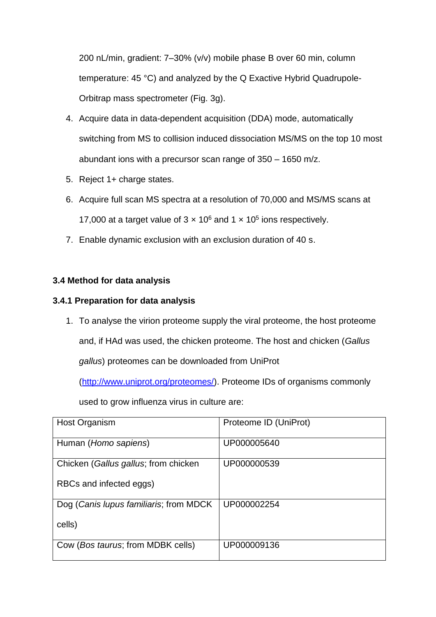200 nL/min, gradient: 7–30% (v/v) mobile phase B over 60 min, column temperature: 45 °C) and analyzed by the Q Exactive Hybrid Quadrupole-Orbitrap mass spectrometer (Fig. 3g).

- 4. Acquire data in data-dependent acquisition (DDA) mode, automatically switching from MS to collision induced dissociation MS/MS on the top 10 most abundant ions with a precursor scan range of 350 – 1650 m/z.
- 5. Reject 1+ charge states.
- 6. Acquire full scan MS spectra at a resolution of 70,000 and MS/MS scans at 17,000 at a target value of  $3 \times 10^6$  and  $1 \times 10^5$  ions respectively.
- 7. Enable dynamic exclusion with an exclusion duration of 40 s.

# **3.4 Method for data analysis**

# **3.4.1 Preparation for data analysis**

1. To analyse the virion proteome supply the viral proteome, the host proteome and, if HAd was used, the chicken proteome. The host and chicken (*Gallus gallus*) proteomes can be downloaded from UniProt

[\(http://www.uniprot.org/proteomes/\)](http://www.uniprot.org/proteomes/). Proteome IDs of organisms commonly

used to grow influenza virus in culture are:

| Host Organism                          | Proteome ID (UniProt) |
|----------------------------------------|-----------------------|
| Human (Homo sapiens)                   | UP000005640           |
| Chicken (Gallus gallus; from chicken   | UP000000539           |
| RBCs and infected eggs)                |                       |
| Dog (Canis lupus familiaris; from MDCK | UP000002254           |
| cells)                                 |                       |
| Cow (Bos taurus; from MDBK cells)      | UP000009136           |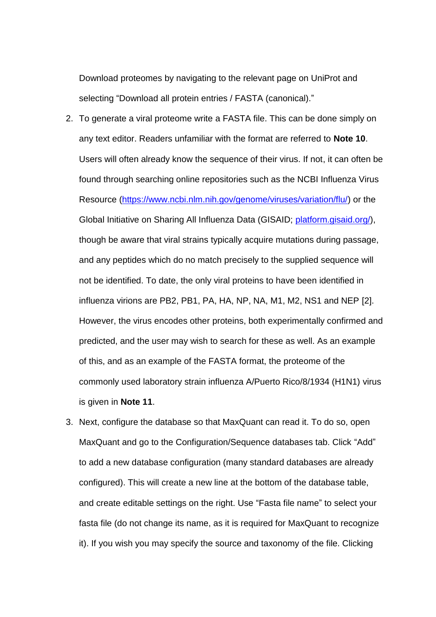Download proteomes by navigating to the relevant page on UniProt and selecting "Download all protein entries / FASTA (canonical)."

- 2. To generate a viral proteome write a FASTA file. This can be done simply on any text editor. Readers unfamiliar with the format are referred to **Note 10**. Users will often already know the sequence of their virus. If not, it can often be found through searching online repositories such as the NCBI Influenza Virus Resource [\(https://www.ncbi.nlm.nih.gov/genome/viruses/variation/flu/\)](https://www.ncbi.nlm.nih.gov/genome/viruses/variation/flu/) or the Global Initiative on Sharing All Influenza Data (GISAID; [platform.gisaid.org/\)](http://platform.gisaid.org/epi3/frontend#18dc03), though be aware that viral strains typically acquire mutations during passage, and any peptides which do no match precisely to the supplied sequence will not be identified. To date, the only viral proteins to have been identified in influenza virions are PB2, PB1, PA, HA, NP, NA, M1, M2, NS1 and NEP [2]. However, the virus encodes other proteins, both experimentally confirmed and predicted, and the user may wish to search for these as well. As an example of this, and as an example of the FASTA format, the proteome of the commonly used laboratory strain influenza A/Puerto Rico/8/1934 (H1N1) virus is given in **Note 11**.
- 3. Next, configure the database so that MaxQuant can read it. To do so, open MaxQuant and go to the Configuration/Sequence databases tab. Click "Add" to add a new database configuration (many standard databases are already configured). This will create a new line at the bottom of the database table, and create editable settings on the right. Use "Fasta file name" to select your fasta file (do not change its name, as it is required for MaxQuant to recognize it). If you wish you may specify the source and taxonomy of the file. Clicking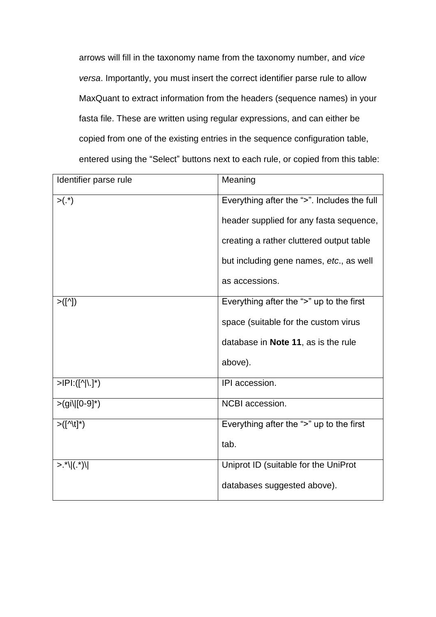arrows will fill in the taxonomy name from the taxonomy number, and *vice versa*. Importantly, you must insert the correct identifier parse rule to allow MaxQuant to extract information from the headers (sequence names) in your fasta file. These are written using regular expressions, and can either be copied from one of the existing entries in the sequence configuration table, entered using the "Select" buttons next to each rule, or copied from this table:

| Meaning                                     |
|---------------------------------------------|
| Everything after the ">". Includes the full |
| header supplied for any fasta sequence,     |
| creating a rather cluttered output table    |
| but including gene names, etc., as well     |
| as accessions.                              |
| Everything after the ">" up to the first    |
| space (suitable for the custom virus        |
| database in Note 11, as is the rule         |
| above).                                     |
| IPI accession.                              |
| NCBI accession.                             |
| Everything after the ">" up to the first    |
| tab.                                        |
| Uniprot ID (suitable for the UniProt        |
| databases suggested above).                 |
|                                             |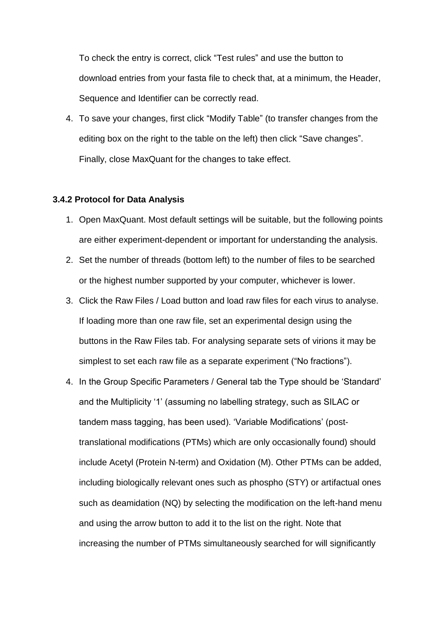To check the entry is correct, click "Test rules" and use the button to download entries from your fasta file to check that, at a minimum, the Header, Sequence and Identifier can be correctly read.

4. To save your changes, first click "Modify Table" (to transfer changes from the editing box on the right to the table on the left) then click "Save changes". Finally, close MaxQuant for the changes to take effect.

### **3.4.2 Protocol for Data Analysis**

- 1. Open MaxQuant. Most default settings will be suitable, but the following points are either experiment-dependent or important for understanding the analysis.
- 2. Set the number of threads (bottom left) to the number of files to be searched or the highest number supported by your computer, whichever is lower.
- 3. Click the Raw Files / Load button and load raw files for each virus to analyse. If loading more than one raw file, set an experimental design using the buttons in the Raw Files tab. For analysing separate sets of virions it may be simplest to set each raw file as a separate experiment ("No fractions").
- 4. In the Group Specific Parameters / General tab the Type should be 'Standard' and the Multiplicity '1' (assuming no labelling strategy, such as SILAC or tandem mass tagging, has been used). 'Variable Modifications' (posttranslational modifications (PTMs) which are only occasionally found) should include Acetyl (Protein N-term) and Oxidation (M). Other PTMs can be added, including biologically relevant ones such as phospho (STY) or artifactual ones such as deamidation (NQ) by selecting the modification on the left-hand menu and using the arrow button to add it to the list on the right. Note that increasing the number of PTMs simultaneously searched for will significantly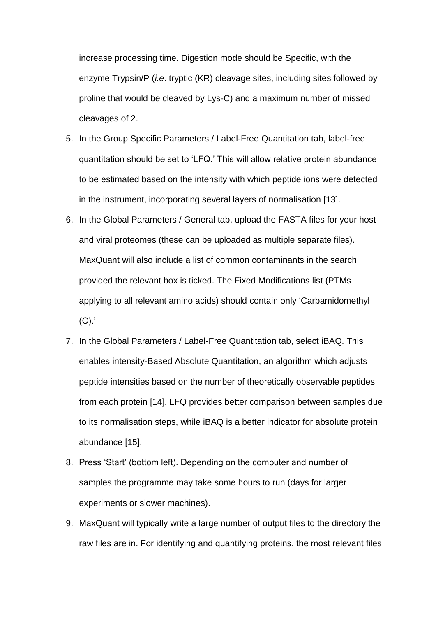increase processing time. Digestion mode should be Specific, with the enzyme Trypsin/P (*i.e*. tryptic (KR) cleavage sites, including sites followed by proline that would be cleaved by Lys-C) and a maximum number of missed cleavages of 2.

- 5. In the Group Specific Parameters / Label-Free Quantitation tab, label-free quantitation should be set to 'LFQ.' This will allow relative protein abundance to be estimated based on the intensity with which peptide ions were detected in the instrument, incorporating several layers of normalisation [13].
- 6. In the Global Parameters / General tab, upload the FASTA files for your host and viral proteomes (these can be uploaded as multiple separate files). MaxQuant will also include a list of common contaminants in the search provided the relevant box is ticked. The Fixed Modifications list (PTMs applying to all relevant amino acids) should contain only 'Carbamidomethyl  $(C)$ .
- 7. In the Global Parameters / Label-Free Quantitation tab, select iBAQ. This enables intensity-Based Absolute Quantitation, an algorithm which adjusts peptide intensities based on the number of theoretically observable peptides from each protein [14]. LFQ provides better comparison between samples due to its normalisation steps, while iBAQ is a better indicator for absolute protein abundance [15].
- 8. Press 'Start' (bottom left). Depending on the computer and number of samples the programme may take some hours to run (days for larger experiments or slower machines).
- 9. MaxQuant will typically write a large number of output files to the directory the raw files are in. For identifying and quantifying proteins, the most relevant files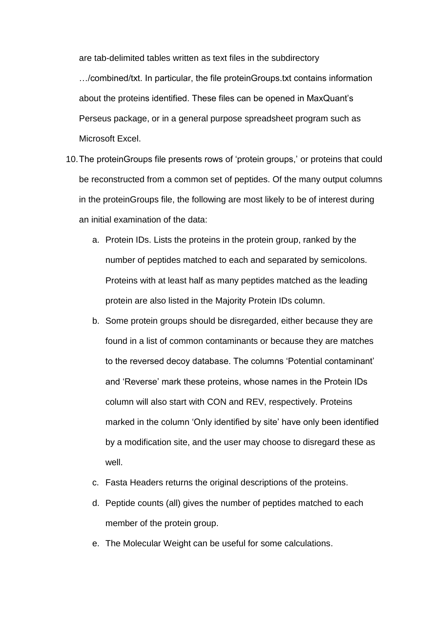are tab-delimited tables written as text files in the subdirectory

…/combined/txt. In particular, the file proteinGroups.txt contains information about the proteins identified. These files can be opened in MaxQuant's Perseus package, or in a general purpose spreadsheet program such as Microsoft Excel.

- 10.The proteinGroups file presents rows of 'protein groups,' or proteins that could be reconstructed from a common set of peptides. Of the many output columns in the proteinGroups file, the following are most likely to be of interest during an initial examination of the data:
	- a. Protein IDs. Lists the proteins in the protein group, ranked by the number of peptides matched to each and separated by semicolons. Proteins with at least half as many peptides matched as the leading protein are also listed in the Majority Protein IDs column.
	- b. Some protein groups should be disregarded, either because they are found in a list of common contaminants or because they are matches to the reversed decoy database. The columns 'Potential contaminant' and 'Reverse' mark these proteins, whose names in the Protein IDs column will also start with CON and REV, respectively. Proteins marked in the column 'Only identified by site' have only been identified by a modification site, and the user may choose to disregard these as well.
	- c. Fasta Headers returns the original descriptions of the proteins.
	- d. Peptide counts (all) gives the number of peptides matched to each member of the protein group.
	- e. The Molecular Weight can be useful for some calculations.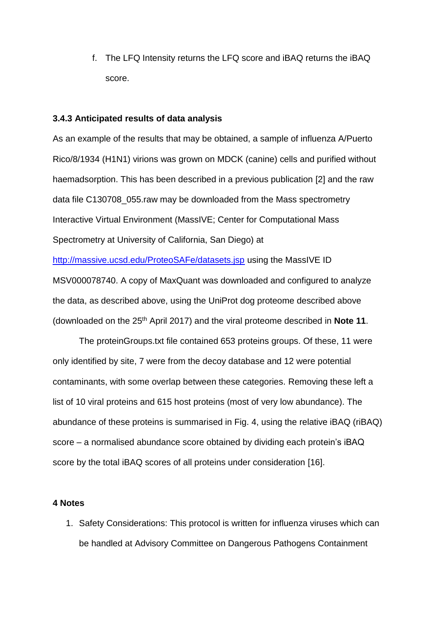f. The LFQ Intensity returns the LFQ score and iBAQ returns the iBAQ score.

#### **3.4.3 Anticipated results of data analysis**

As an example of the results that may be obtained, a sample of influenza A/Puerto Rico/8/1934 (H1N1) virions was grown on MDCK (canine) cells and purified without haemadsorption. This has been described in a previous publication [2] and the raw data file C130708\_055.raw may be downloaded from the Mass spectrometry Interactive Virtual Environment (MassIVE; Center for Computational Mass Spectrometry at University of California, San Diego) at <http://massive.ucsd.edu/ProteoSAFe/datasets.jsp> using the MassIVE ID MSV000078740. A copy of MaxQuant was downloaded and configured to analyze the data, as described above, using the UniProt dog proteome described above (downloaded on the 25th April 2017) and the viral proteome described in **Note 11**.

The proteinGroups.txt file contained 653 proteins groups. Of these, 11 were only identified by site, 7 were from the decoy database and 12 were potential contaminants, with some overlap between these categories. Removing these left a list of 10 viral proteins and 615 host proteins (most of very low abundance). The abundance of these proteins is summarised in Fig. 4, using the relative iBAQ (riBAQ) score – a normalised abundance score obtained by dividing each protein's iBAQ score by the total iBAQ scores of all proteins under consideration [16].

### **4 Notes**

1. Safety Considerations: This protocol is written for influenza viruses which can be handled at Advisory Committee on Dangerous Pathogens Containment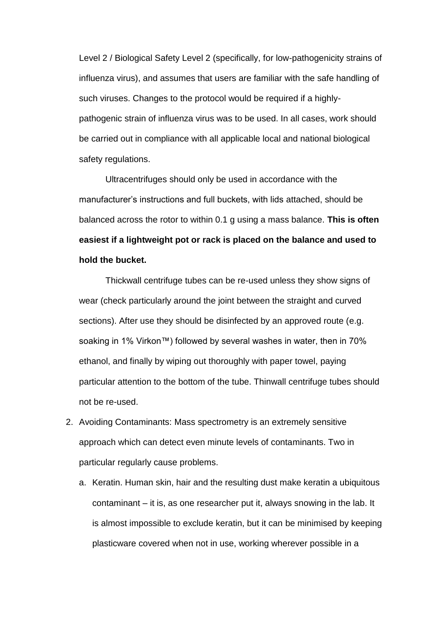Level 2 / Biological Safety Level 2 (specifically, for low-pathogenicity strains of influenza virus), and assumes that users are familiar with the safe handling of such viruses. Changes to the protocol would be required if a highlypathogenic strain of influenza virus was to be used. In all cases, work should be carried out in compliance with all applicable local and national biological safety regulations.

Ultracentrifuges should only be used in accordance with the manufacturer's instructions and full buckets, with lids attached, should be balanced across the rotor to within 0.1 g using a mass balance. **This is often easiest if a lightweight pot or rack is placed on the balance and used to hold the bucket.**

Thickwall centrifuge tubes can be re-used unless they show signs of wear (check particularly around the joint between the straight and curved sections). After use they should be disinfected by an approved route (e.g. soaking in 1% Virkon™) followed by several washes in water, then in 70% ethanol, and finally by wiping out thoroughly with paper towel, paying particular attention to the bottom of the tube. Thinwall centrifuge tubes should not be re-used.

- 2. Avoiding Contaminants: Mass spectrometry is an extremely sensitive approach which can detect even minute levels of contaminants. Two in particular regularly cause problems.
	- a. Keratin. Human skin, hair and the resulting dust make keratin a ubiquitous contaminant – it is, as one researcher put it, always snowing in the lab. It is almost impossible to exclude keratin, but it can be minimised by keeping plasticware covered when not in use, working wherever possible in a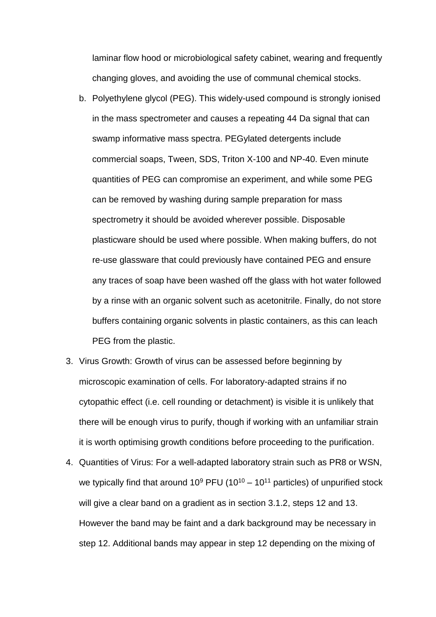laminar flow hood or microbiological safety cabinet, wearing and frequently changing gloves, and avoiding the use of communal chemical stocks.

- b. Polyethylene glycol (PEG). This widely-used compound is strongly ionised in the mass spectrometer and causes a repeating 44 Da signal that can swamp informative mass spectra. PEGylated detergents include commercial soaps, Tween, SDS, Triton X-100 and NP-40. Even minute quantities of PEG can compromise an experiment, and while some PEG can be removed by washing during sample preparation for mass spectrometry it should be avoided wherever possible. Disposable plasticware should be used where possible. When making buffers, do not re-use glassware that could previously have contained PEG and ensure any traces of soap have been washed off the glass with hot water followed by a rinse with an organic solvent such as acetonitrile. Finally, do not store buffers containing organic solvents in plastic containers, as this can leach PEG from the plastic.
- 3. Virus Growth: Growth of virus can be assessed before beginning by microscopic examination of cells. For laboratory-adapted strains if no cytopathic effect (i.e. cell rounding or detachment) is visible it is unlikely that there will be enough virus to purify, though if working with an unfamiliar strain it is worth optimising growth conditions before proceeding to the purification.
- 4. Quantities of Virus: For a well-adapted laboratory strain such as PR8 or WSN, we typically find that around  $10^9$  PFU ( $10^{10} - 10^{11}$  particles) of unpurified stock will give a clear band on a gradient as in section 3.1.2, steps 12 and 13. However the band may be faint and a dark background may be necessary in step 12. Additional bands may appear in step 12 depending on the mixing of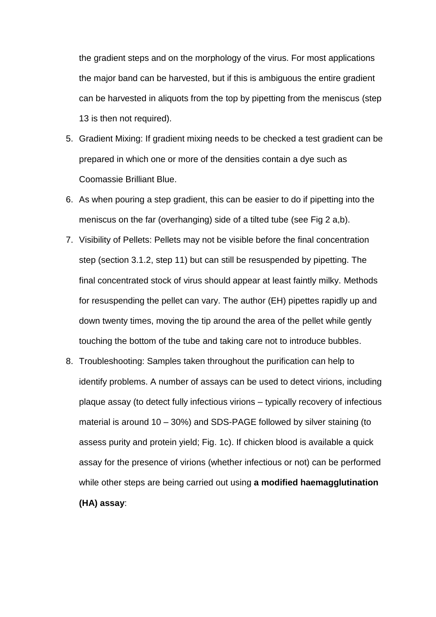the gradient steps and on the morphology of the virus. For most applications the major band can be harvested, but if this is ambiguous the entire gradient can be harvested in aliquots from the top by pipetting from the meniscus (step 13 is then not required).

- 5. Gradient Mixing: If gradient mixing needs to be checked a test gradient can be prepared in which one or more of the densities contain a dye such as Coomassie Brilliant Blue.
- 6. As when pouring a step gradient, this can be easier to do if pipetting into the meniscus on the far (overhanging) side of a tilted tube (see Fig 2 a,b).
- 7. Visibility of Pellets: Pellets may not be visible before the final concentration step (section 3.1.2, step 11) but can still be resuspended by pipetting. The final concentrated stock of virus should appear at least faintly milky. Methods for resuspending the pellet can vary. The author (EH) pipettes rapidly up and down twenty times, moving the tip around the area of the pellet while gently touching the bottom of the tube and taking care not to introduce bubbles.
- 8. Troubleshooting: Samples taken throughout the purification can help to identify problems. A number of assays can be used to detect virions, including plaque assay (to detect fully infectious virions – typically recovery of infectious material is around 10 – 30%) and SDS-PAGE followed by silver staining (to assess purity and protein yield; Fig. 1c). If chicken blood is available a quick assay for the presence of virions (whether infectious or not) can be performed while other steps are being carried out using **a modified haemagglutination (HA) assay**: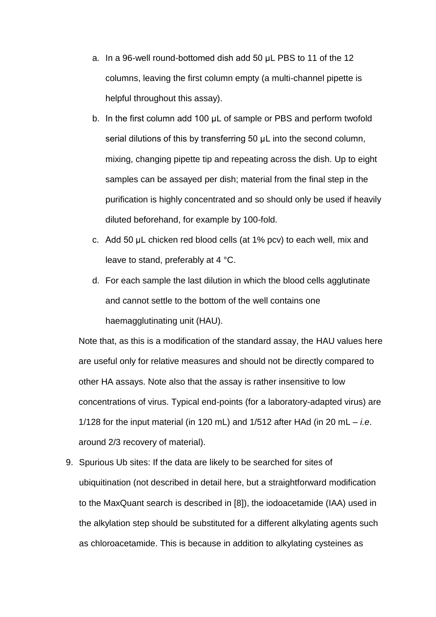- a. In a 96-well round-bottomed dish add 50 μL PBS to 11 of the 12 columns, leaving the first column empty (a multi-channel pipette is helpful throughout this assay).
- b. In the first column add 100 μL of sample or PBS and perform twofold serial dilutions of this by transferring 50 μL into the second column, mixing, changing pipette tip and repeating across the dish. Up to eight samples can be assayed per dish; material from the final step in the purification is highly concentrated and so should only be used if heavily diluted beforehand, for example by 100-fold.
- c. Add 50 μL chicken red blood cells (at 1% pcv) to each well, mix and leave to stand, preferably at 4 °C.
- d. For each sample the last dilution in which the blood cells agglutinate and cannot settle to the bottom of the well contains one haemagglutinating unit (HAU).

Note that, as this is a modification of the standard assay, the HAU values here are useful only for relative measures and should not be directly compared to other HA assays. Note also that the assay is rather insensitive to low concentrations of virus. Typical end-points (for a laboratory-adapted virus) are 1/128 for the input material (in 120 mL) and 1/512 after HAd (in 20 mL – *i.e*. around 2/3 recovery of material).

9. Spurious Ub sites: If the data are likely to be searched for sites of ubiquitination (not described in detail here, but a straightforward modification to the MaxQuant search is described in [8]), the iodoacetamide (IAA) used in the alkylation step should be substituted for a different alkylating agents such as chloroacetamide. This is because in addition to alkylating cysteines as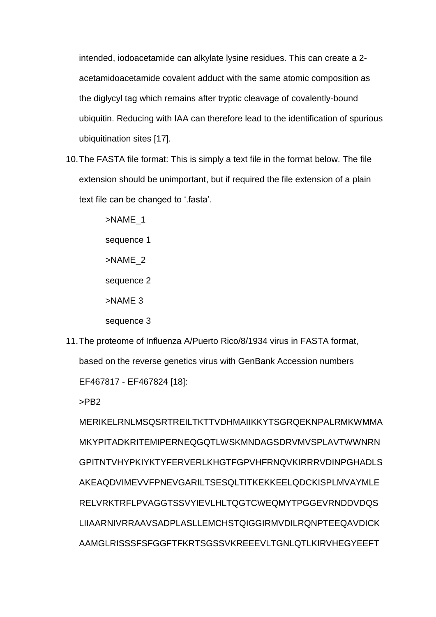intended, iodoacetamide can alkylate lysine residues. This can create a 2 acetamidoacetamide covalent adduct with the same atomic composition as the diglycyl tag which remains after tryptic cleavage of covalently-bound ubiquitin. Reducing with IAA can therefore lead to the identification of spurious ubiquitination sites [17].

10.The FASTA file format: This is simply a text file in the format below. The file extension should be unimportant, but if required the file extension of a plain text file can be changed to '.fasta'.

> >NAME\_1 sequence 1 >NAME\_2 sequence 2 >NAME 3 sequence 3

11.The proteome of Influenza A/Puerto Rico/8/1934 virus in FASTA format, based on the reverse genetics virus with GenBank Accession numbers EF467817 - EF467824 [18]:

>PB2

MERIKELRNLMSQSRTREILTKTTVDHMAIIKKYTSGRQEKNPALRMKWMMA MKYPITADKRITEMIPERNEQGQTLWSKMNDAGSDRVMVSPLAVTWWNRN GPITNTVHYPKIYKTYFERVERLKHGTFGPVHFRNQVKIRRRVDINPGHADLS AKEAQDVIMEVVFPNEVGARILTSESQLTITKEKKEELQDCKISPLMVAYMLE RELVRKTRFLPVAGGTSSVYIEVLHLTQGTCWEQMYTPGGEVRNDDVDQS LIIAARNIVRRAAVSADPLASLLEMCHSTQIGGIRMVDILRQNPTEEQAVDICK AAMGLRISSSFSFGGFTFKRTSGSSVKREEEVLTGNLQTLKIRVHEGYEEFT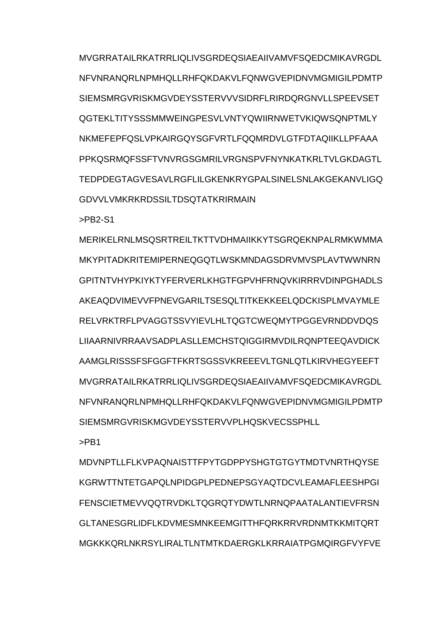MVGRRATAILRKATRRLIQLIVSGRDEQSIAEAIIVAMVFSQEDCMIKAVRGDL NFVNRANORLNPMHOLLRHFQKDAKVLFQNWGVFPIDNVMGMIGILPDMTP SIEMSMRGVRISKMGVDEYSSTERVVVSIDRFLRIRDQRGNVLLSPEEVSET QGTEKLTITYSSSMMWEINGPESVLVNTYQWIIRNWETVKIQWSQNPTMLY NKMEFEPFQSLVPKAIRGQYSGFVRTLFQQMRDVLGTFDTAQIIKLLPFAAA PPKOSRMOFSSFTVNVRGSGMRILVRGNSPVFNYNKATKRLTVLGKDAGTL TEDPDEGTAGVESAVLRGFLILGKENKRYGPALSINELSNLAKGEKANVLIGQ GDVVLVMKRKRDSSILTDSQTATKRIRMAIN

>PB2-S1

MERIKELRNLMSQSRTREILTKTTVDHMAIIKKYTSGRQEKNPALRMKWMMA MKYPITADKRITEMIPERNEQGQTLWSKMNDAGSDRVMVSPLAVTWWNRN GPITNTVHYPKIYKTYFERVERLKHGTFGPVHFRNQVKIRRRVDINPGHADLS AKEAQDVIMEVVFPNEVGARILTSESQLTITKEKKEELQDCKISPLMVAYMLE RELVRKTRFLPVAGGTSSVYIEVLHLTQGTCWEQMYTPGGEVRNDDVDQS LIIAARNIVRRAAVSADPLASLLEMCHSTQIGGIRMVDILRQNPTEEQAVDICK AAMGLRISSSFSFGGFTFKRTSGSSVKREEEVLTGNLQTLKIRVHEGYEEFT MVGRRATAILRKATRRLIQLIVSGRDEQSIAEAIIVAMVFSQEDCMIKAVRGDL NFVNRANQRLNPMHQLLRHFQKDAKVLFQNWGVEPIDNVMGMIGILPDMTP SIEMSMRGVRISKMGVDEYSSTERVVPLHQSKVECSSPHLL

>PB1

MDVNPTLLFLKVPAQNAISTTFPYTGDPPYSHGTGTGYTMDTVNRTHQYSE KGRWTTNTETGAPQLNPIDGPLPEDNEPSGYAQTDCVLEAMAFLEESHPGI FENSCIETMEVVQQTRVDKI TQGRQTYDWTI NRNQPAATAI ANTIEVFRSN GLTANESGRLIDFLKDVMESMNKEEMGITTHFQRKRRVRDNMTKKMITQRT MGKKKQRLNKRSYLIRALTLNTMTKDAERGKLKRRAIATPGMQIRGFVYFVE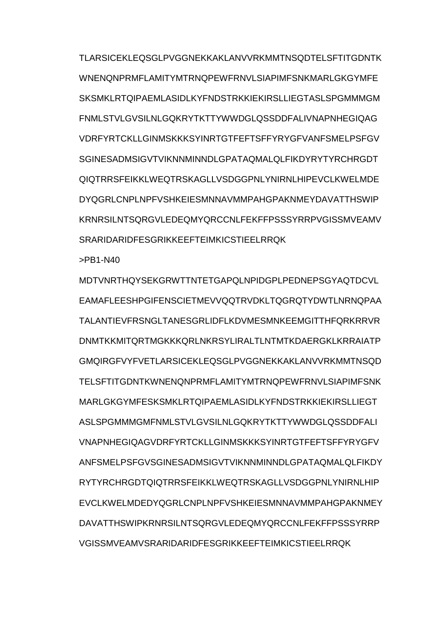TLARSICEKLEQSGLPVGGNEKKAKLANVVRKMMTNSQDTELSFTITGDNTK WNENONPRMFLAMITYMTRNOPFWFRNVLSIAPIMFSNKMARLGKGYMFF SKSMKLRTQIPAEMLASIDLKYFNDSTRKKIEKIRSLLIEGTASLSPGMMMGM FNMLSTVLGVSILNLGQKRYTKTTYWWDGLQSSDDFALIVNAPNHEGIQAG VDRFYRTCKLLGINMSKKKSYINRTGTFEFTSFFYRYGFVANFSMELPSFGV SGINESADMSIGVTVIKNNMINNDI GPATAQMALQI FIKDYRYTYRCHRGDT QIQTRRSFEIKKLWEQTRSKAGLLVSDGGPNLYNIRNLHIPEVCLKWELMDE DYQGRLCNPLNPFVSHKEIESMNNAVMMPAHGPAKNMEYDAVATTHSWIP KRNRSILNTSQRGVLEDEQMYQRCCNLFEKFFPSSSYRRPVGISSMVEAMV SRARIDARIDFESGRIKKEEFTEIMKICSTIEELRRQK

>PB1-N40

MDTVNRTHQYSEKGRWTTNTETGAPQLNPIDGPLPEDNEPSGYAQTDCVL EAMAFLEESHPGIFENSCIETMEVVQQTRVDKLTQGRQTYDWTLNRNQPAA TALANTIEVFRSNGLTANESGRLIDFLKDVMESMNKEEMGITTHFQRKRRVR DNMTKKMITQRTMGKKKQRLNKRSYLIRALTLNTMTKDAERGKLKRRAIATP GMQIRGFVYFVETLARSICEKLEQSGLPVGGNEKKAKLANVVRKMMTNSQD TELSFTITGDNTKWNENQNPRMFLAMITYMTRNQPEWFRNVLSIAPIMFSNK MARLGKGYMFESKSMKLRTQIPAEMLASIDLKYFNDSTRKKIEKIRSLLIEGT ASLSPGMMMGMFNMLSTVLGVSILNLGQKRYTKTTYWWDGLQSSDDFALI VNAPNHEGIQAGVDRFYRTCKLLGINMSKKKSYINRTGTFEFTSFFYRYGFV ANFSMELPSFGVSGINESADMSIGVTVIKNNMINNDLGPATAQMALQLFIKDY RYTYRCHRGDTQIQTRRSFEIKKLWEQTRSKAGLLVSDGGPNLYNIRNLHIP EVCLKWELMDEDYQGRLCNPLNPFVSHKEIESMNNAVMMPAHGPAKNMEY DAVATTHSWIPKRNRSILNTSQRGVLEDEQMYQRCCNLFEKFFPSSSYRRP VGISSMVEAMVSRARIDARIDFESGRIKKEEFTEIMKICSTIEELRRQK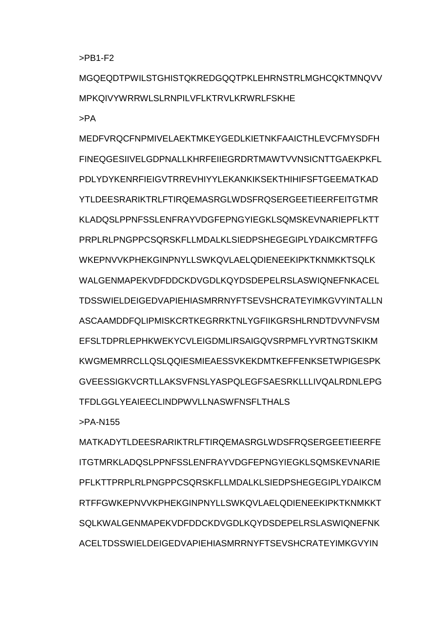>PB1-F2

MGQEQDTPWILSTGHISTQKREDGQQTPKLEHRNSTRLMGHCQKTMNQVV MPKQIVYWRRWLSLRNPILVFLKTRVLKRWRLFSKHE

>PA

MEDFVRQCFNPMIVELAEKTMKEYGEDLKIETNKFAAICTHLEVCFMYSDFH FINEQGESIIVELGDPNALLKHRFEIIEGRDRTMAWTVVNSICNTTGAEKPKFL PDLYDYKENRFIEIGVTRREVHIYYLEKANKIKSEKTHIHIFSFTGEEMATKAD YTLDEESRARIKTRLFTIRQEMASRGLWDSFRQSERGEETIEERFEITGTMR KLADQSLPPNFSSLENFRAYVDGFEPNGYIEGKLSQMSKEVNARIEPFLKTT PRPLRLPNGPPCSQRSKFLLMDALKLSIEDPSHEGEGIPLYDAIKCMRTFFG WKEPNVVKPHEKGINPNYLLSWKQVLAELQDIENEEKIPKTKNMKKTSQLK WALGENMAPEKVDEDDCKDVGDLKQYDSDEPELRSLASWIQNEFNKACEL TDSSWIELDEIGEDVAPIEHIASMRRNYFTSEVSHCRATEYIMKGVYINTALLN ASCAAMDDFQLIPMISKCRTKEGRRKTNLYGFIIKGRSHLRNDTDVVNFVSM EFSLTDPRLEPHKWEKYCVLEIGDMLIRSAIGQVSRPMFLYVRTNGTSKIKM KWGMEMRRCLLQSLQQIESMIEAESSVKEKDMTKEFFENKSETWPIGESPK GVEESSIGKVCRTLLAKSVFNSLYASPQLEGFSAESRKLLLIVQALRDNLEPG TFDLGGLYEAIEECLINDPWVLLNASWFNSFLTHALS

>PA-N155

MATKADYTLDEESRARIKTRLFTIRQEMASRGLWDSFRQSERGEETIEERFE ITGTMRKLADQSLPPNFSSLENFRAYVDGFEPNGYIEGKLSQMSKEVNARIE PFLKTTPRPLRLPNGPPCSQRSKFLLMDALKLSIEDPSHEGEGIPLYDAIKCM RTFFGWKEPNVVKPHEKGINPNYLLSWKQVLAELQDIENEEKIPKTKNMKKT SQLKWALGENMAPEKVDFDDCKDVGDLKQYDSDEPELRSLASWIQNEFNK ACELTDSSWIELDEIGEDVAPIEHIASMRRNYFTSEVSHCRATEYIMKGVYIN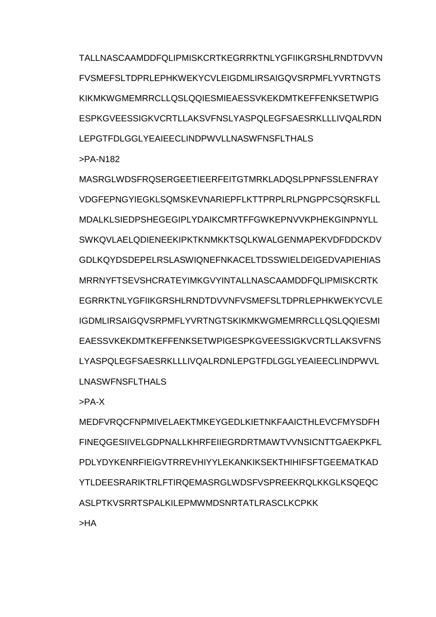TALLNASCAAMDDFQLIPMISKCRTKEGRRKTNLYGFIIKGRSHLRNDTDVVN FVSMEFSLTDPRLEPHKWEKYCVLEIGDMLIRSAIGQVSRPMFLYVRTNGTS KIKMKWGMEMRRCLLQSLQQIESMIEAESSVKEKDMTKEFFENKSETWPIG ESPKGVEESSIGKVCRTLLAKSVFNSLYASPQLEGFSAESRKLLLIVQALRDN LEPGTFDLGGLYEAIEECLINDPWVLLNASWFNSFLTHALS

>PA-N182

MASRGLWDSFRQSERGEETIEERFEITGTMRKLADQSLPPNFSSLENFRAY VDGFEPNGYIEGKLSQMSKEVNARIEPFLKTTPRPLRLPNGPPCSQRSKFLL MDALKLSIEDPSHEGEGIPLYDAIKCMRTFFGWKEPNVVKPHEKGINPNYLL SWKQVLAELQDIENEEKIPKTKNMKKTSQLKWALGENMAPEKVDFDDCKDV GDLKQYDSDEPELRSLASWIQNEFNKACELTDSSWIELDEIGEDVAPIEHIAS MRRNYFTSEVSHCRATEYIMKGVYINTALLNASCAAMDDFQLIPMISKCRTK EGRRKTNLYGFIIKGRSHLRNDTDVVNFVSMEFSLTDPRLEPHKWEKYCVLE IGDMLIRSAIGQVSRPMFLYVRTNGTSKIKMKWGMEMRRCLLQSLQQIESMI EAESSVKEKDMTKEFFENKSETWPIGESPKGVEESSIGKVCRTLLAKSVFNS LYASPQLEGFSAESRKLLLIVQALRDNLEPGTFDLGGLYEAIEECLINDPWVL LNASWFNSFLTHALS

>PA-X

MEDFVRQCFNPMIVELAEKTMKEYGEDLKIETNKFAAICTHLEVCFMYSDFH FINEQGESIIVELGDPNALLKHRFEIIEGRDRTMAWTVVNSICNTTGAEKPKFL PDLYDYKENRFIEIGVTRREVHIYYLEKANKIKSEKTHIHIFSFTGEEMATKAD YTLDEESRARIKTRLFTIRQEMASRGLWDSFVSPREEKRQLKKGLKSQEQC ASI PTKVSRRTSPALKILEPMWMDSNRTATI RASCLKCPKK

>HA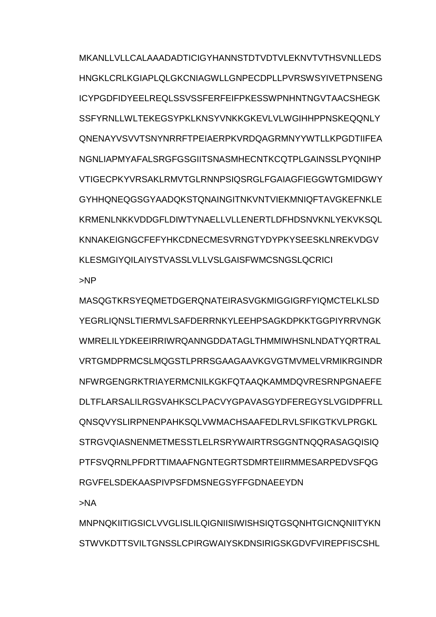MKANLLVLLCALAAADADTICIGYHANNSTDTVDTVLEKNVTVTHSVNLLEDS HNGKLCRLKGIAPLOLGKCNIAGWLLGNPFCDPLLPVRSWSYIVETPNSENG ICYPGDFIDYEELREQLSSVSSFERFEIFPKESSWPNHNTNGVTAACSHEGK SSFYRNLLWLTEKEGSYPKLKNSYVNKKGKEVLVLWGIHHPPNSKEQQNLY QNENAYVSVVTSNYNRRFTPEIAERPKVRDQAGRMNYYWTLLKPGDTIIFEA NGNLIAPMYAFALSRGFGSGIITSNASMHECNTKCQTPLGAINSSLPYQNIHP VTIGECPKYVRSAKLRMVTGLRNNPSIQSRGLFGAIAGFIEGGWTGMIDGWY GYHHQNEQGSGYAADQKSTQNAINGITNKVNTVIEKMNIQFTAVGKEFNKLE KRMENLNKKVDDGFLDIWTYNAELLVLLENERTLDFHDSNVKNLYEKVKSQL KNNAKEIGNGCFEFYHKCDNECMESVRNGTYDYPKYSEESKLNREKVDGV KLESMGIYQILAIYSTVASSLVLLVSLGAISFWMCSNGSLQCRICI >NP

MASQGTKRSYEQMETDGERQNATEIRASVGKMIGGIGRFYIQMCTELKLSD YEGRLIQNSLTIERMVLSAFDERRNKYLEEHPSAGKDPKKTGGPIYRRVNGK WMRELILYDKEEIRRIWRQANNGDDATAGLTHMMIWHSNLNDATYQRTRAL VRTGMDPRMCSLMQGSTLPRRSGAAGAAVKGVGTMVMELVRMIKRGINDR NFWRGENGRKTRIAYERMCNILKGKFQTAAQKAMMDQVRESRNPGNAEFE DLTFLARSALILRGSVAHKSCLPACVYGPAVASGYDFEREGYSLVGIDPFRLL QNSQVYSLIRPNENPAHKSQLVWMACHSAAFEDLRVLSFIKGTKVLPRGKL STRGVQIASNENMETMESSTLELRSRYWAIRTRSGGNTNQQRASAGQISIQ PTFSVQRNLPFDRTTIMAAFNGNTEGRTSDMRTEIIRMMESARPEDVSFQG RGVFELSDEKAASPIVPSFDMSNEGSYFFGDNAEEYDN

>NA

MNPNQKIITIGSICLVVGLISLILQIGNIISIWISHSIQTGSQNHTGICNQNIITYKN STWVKDTTSVILTGNSSLCPIRGWAIYSKDNSIRIGSKGDVFVIREPFISCSHL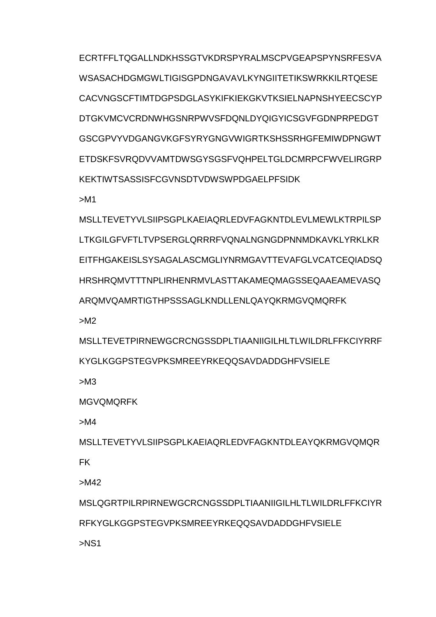ECRTFFLTQGALLNDKHSSGTVKDRSPYRALMSCPVGEAPSPYNSRFESVA WSASACHDGMGWLTIGISGPDNGAVAVLKYNGIITETIKSWRKKILRTQESE CACVNGSCFTIMTDGPSDGLASYKIFKIEKGKVTKSIELNAPNSHYEECSCYP DTGKVMCVCRDNWHGSNRPWVSFDQNLDYQIGYICSGVFGDNPRPEDGT GSCGPVYVDGANGVKGFSYRYGNGVWIGRTKSHSSRHGFEMIWDPNGWT ETDSKFSVRQDVVAMTDWSGYSGSFVQHPELTGLDCMRPCFWVELIRGRP KEKTIWTSASSISFCGVNSDTVDWSWPDGAELPFSIDK

>M1

MSLLTEVETYVLSIIPSGPLKAEIAQRLEDVFAGKNTDLEVLMEWLKTRPILSP LTKGILGFVFTLTVPSERGLQRRRFVQNALNGNGDPNNMDKAVKLYRKLKR EITFHGAKEISLSYSAGALASCMGLIYNRMGAVTTEVAFGLVCATCEQIADSQ HRSHRQMVTTTNPLIRHENRMVLASTTAKAMEQMAGSSEQAAEAMEVASQ ARQMVQAMRTIGTHPSSSAGLKNDLLENLQAYQKRMGVQMQRFK

>M2

MSLLTEVETPIRNEWGCRCNGSSDPLTIAANIIGILHLTLWILDRLFFKCIYRRF KYGLKGGPSTEGVPKSMREEYRKEQQSAVDADDGHFVSIELE

>M3

MGVQMQRFK

>M4

MSLLTEVETYVLSIIPSGPLKAEIAQRLEDVFAGKNTDLEAYQKRMGVQMQR FK

>M42

MSLQGRTPILRPIRNEWGCRCNGSSDPLTIAANIIGILHLTLWILDRLFFKCIYR RFKYGLKGGPSTEGVPKSMREEYRKEQQSAVDADDGHFVSIELE

>NS1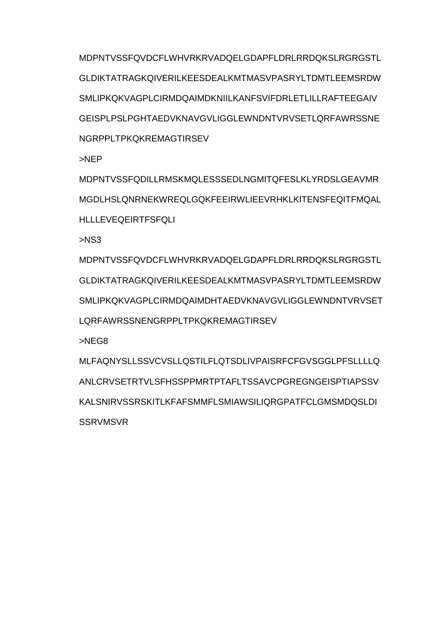MDPNTVSSFQVDCFLWHVRKRVADQELGDAPFLDRLRRDQKSLRGRGSTL GLDIKTATRAGKQIVERILKEESDEALKMTMASVPASRYLTDMTLEEMSRDW SMLIPKQKVAGPLCIRMDQAIMDKNIILKANFSVIFDRLETLILLRAFTEEGAIV GEISPLPSLPGHTAEDVKNAVGVLIGGLEWNDNTVRVSETLQRFAWRSSNE NGRPPLTPKQKREMAGTIRSEV

>NEP

MDPNTVSSFQDILLRMSKMQLESSSEDLNGMITQFESLKLYRDSLGEAVMR MGDLHSLQNRNEKWREQLGQKFEEIRWLIEEVRHKLKITENSFEQITFMQAL HLLLEVEQEIRTFSFQLI

>NS3

MDPNTVSSFQVDCFLWHVRKRVADQELGDAPFLDRLRRDQKSLRGRGSTL GLDIKTATRAGKQIVERILKEESDEALKMTMASVPASRYLTDMTLEEMSRDW SMLIPKQKVAGPLCIRMDQAIMDHTAEDVKNAVGVLIGGLEWNDNTVRVSET LQRFAWRSSNENGRPPLTPKQKREMAGTIRSEV

>NEG8

MLFAQNYSLLSSVCVSLLQSTILFLQTSDLIVPAISRFCFGVSGGLPFSLLLLQ ANLCRVSETRTVLSFHSSPPMRTPTAFLTSSAVCPGREGNGEISPTIAPSSV KALSNIRVSSRSKITLKFAFSMMFLSMIAWSILIQRGPATFCLGMSMDQSLDI **SSRVMSVR**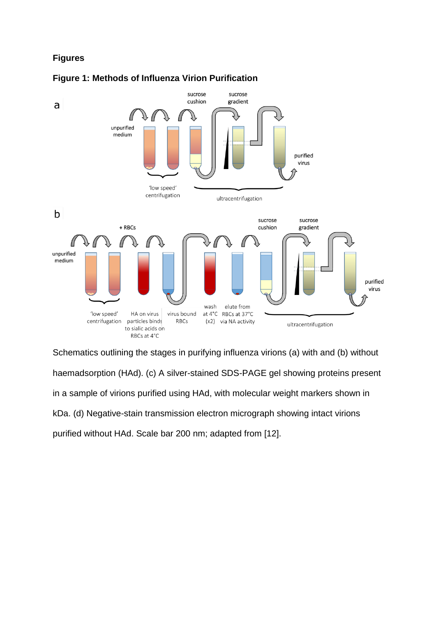# **Figures**





Schematics outlining the stages in purifying influenza virions (a) with and (b) without haemadsorption (HAd). (c) A silver-stained SDS-PAGE gel showing proteins present in a sample of virions purified using HAd, with molecular weight markers shown in kDa. (d) Negative-stain transmission electron micrograph showing intact virions purified without HAd. Scale bar 200 nm; adapted from [12].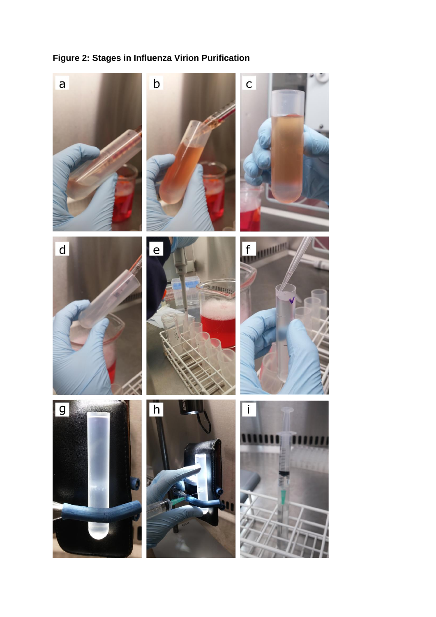

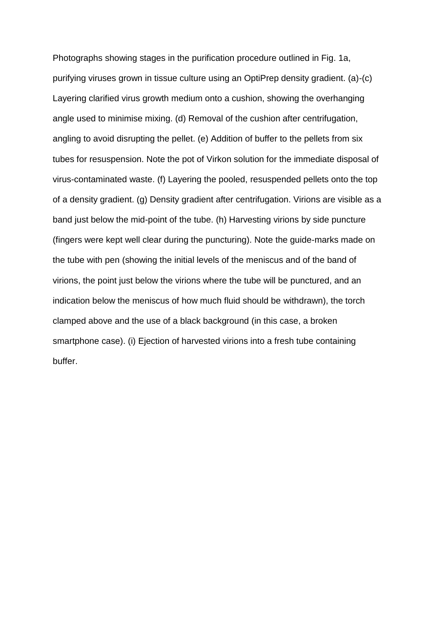Photographs showing stages in the purification procedure outlined in Fig. 1a, purifying viruses grown in tissue culture using an OptiPrep density gradient. (a)-(c) Layering clarified virus growth medium onto a cushion, showing the overhanging angle used to minimise mixing. (d) Removal of the cushion after centrifugation, angling to avoid disrupting the pellet. (e) Addition of buffer to the pellets from six tubes for resuspension. Note the pot of Virkon solution for the immediate disposal of virus-contaminated waste. (f) Layering the pooled, resuspended pellets onto the top of a density gradient. (g) Density gradient after centrifugation. Virions are visible as a band just below the mid-point of the tube. (h) Harvesting virions by side puncture (fingers were kept well clear during the puncturing). Note the guide-marks made on the tube with pen (showing the initial levels of the meniscus and of the band of virions, the point just below the virions where the tube will be punctured, and an indication below the meniscus of how much fluid should be withdrawn), the torch clamped above and the use of a black background (in this case, a broken smartphone case). (i) Ejection of harvested virions into a fresh tube containing buffer.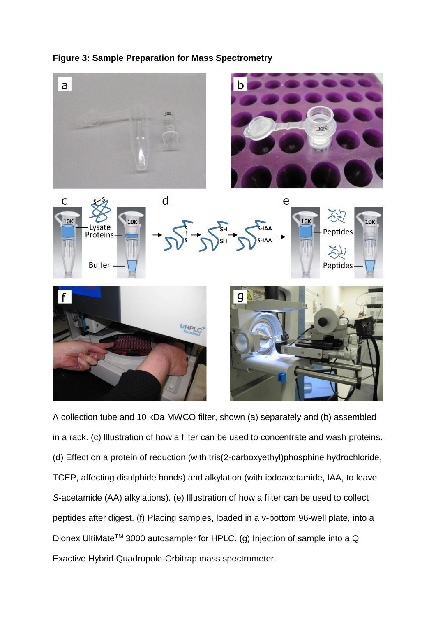## **Figure 3: Sample Preparation for Mass Spectrometry**



A collection tube and 10 kDa MWCO filter, shown (a) separately and (b) assembled in a rack. (c) Illustration of how a filter can be used to concentrate and wash proteins. (d) Effect on a protein of reduction (with tris(2-carboxyethyl)phosphine hydrochloride, TCEP, affecting disulphide bonds) and alkylation (with iodoacetamide, IAA, to leave *S*-acetamide (AA) alkylations). (e) Illustration of how a filter can be used to collect peptides after digest. (f) Placing samples, loaded in a v-bottom 96-well plate, into a Dionex UltiMate<sup>™</sup> 3000 autosampler for HPLC. (g) Injection of sample into a Q Exactive Hybrid Quadrupole-Orbitrap mass spectrometer.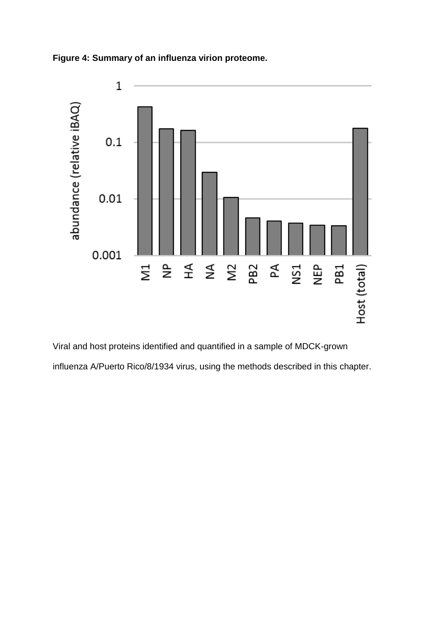



Viral and host proteins identified and quantified in a sample of MDCK-grown influenza A/Puerto Rico/8/1934 virus, using the methods described in this chapter.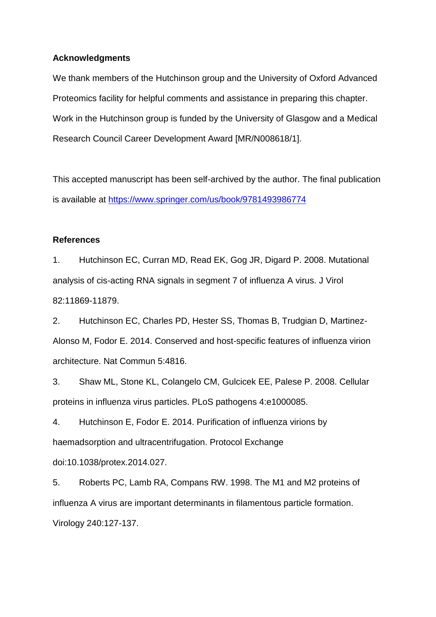### **Acknowledgments**

We thank members of the Hutchinson group and the University of Oxford Advanced Proteomics facility for helpful comments and assistance in preparing this chapter. Work in the Hutchinson group is funded by the University of Glasgow and a Medical Research Council Career Development Award [MR/N008618/1].

This accepted manuscript has been self-archived by the author. The final publication is available at<https://www.springer.com/us/book/9781493986774>

### **References**

1. Hutchinson EC, Curran MD, Read EK, Gog JR, Digard P. 2008. Mutational analysis of cis-acting RNA signals in segment 7 of influenza A virus. J Virol 82:11869-11879.

2. Hutchinson EC, Charles PD, Hester SS, Thomas B, Trudgian D, Martinez-Alonso M, Fodor E. 2014. Conserved and host-specific features of influenza virion architecture. Nat Commun 5:4816.

3. Shaw ML, Stone KL, Colangelo CM, Gulcicek EE, Palese P. 2008. Cellular proteins in influenza virus particles. PLoS pathogens 4:e1000085.

4. Hutchinson E, Fodor E. 2014. Purification of influenza virions by haemadsorption and ultracentrifugation. Protocol Exchange doi:10.1038/protex.2014.027.

5. Roberts PC, Lamb RA, Compans RW. 1998. The M1 and M2 proteins of influenza A virus are important determinants in filamentous particle formation. Virology 240:127-137.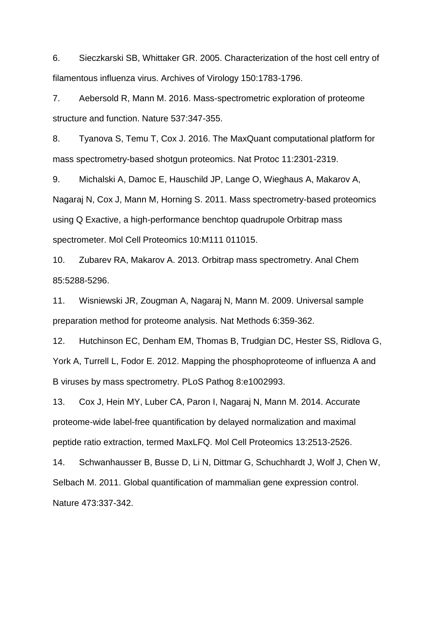6. Sieczkarski SB, Whittaker GR. 2005. Characterization of the host cell entry of filamentous influenza virus. Archives of Virology 150:1783-1796.

7. Aebersold R, Mann M. 2016. Mass-spectrometric exploration of proteome structure and function. Nature 537:347-355.

8. Tyanova S, Temu T, Cox J. 2016. The MaxQuant computational platform for mass spectrometry-based shotgun proteomics. Nat Protoc 11:2301-2319.

9. Michalski A, Damoc E, Hauschild JP, Lange O, Wieghaus A, Makarov A, Nagaraj N, Cox J, Mann M, Horning S. 2011. Mass spectrometry-based proteomics using Q Exactive, a high-performance benchtop quadrupole Orbitrap mass spectrometer. Mol Cell Proteomics 10:M111 011015.

10. Zubarev RA, Makarov A. 2013. Orbitrap mass spectrometry. Anal Chem 85:5288-5296.

11. Wisniewski JR, Zougman A, Nagaraj N, Mann M. 2009. Universal sample preparation method for proteome analysis. Nat Methods 6:359-362.

12. Hutchinson EC, Denham EM, Thomas B, Trudgian DC, Hester SS, Ridlova G, York A, Turrell L, Fodor E. 2012. Mapping the phosphoproteome of influenza A and B viruses by mass spectrometry. PLoS Pathog 8:e1002993.

13. Cox J, Hein MY, Luber CA, Paron I, Nagaraj N, Mann M. 2014. Accurate proteome-wide label-free quantification by delayed normalization and maximal peptide ratio extraction, termed MaxLFQ. Mol Cell Proteomics 13:2513-2526.

14. Schwanhausser B, Busse D, Li N, Dittmar G, Schuchhardt J, Wolf J, Chen W, Selbach M. 2011. Global quantification of mammalian gene expression control. Nature 473:337-342.